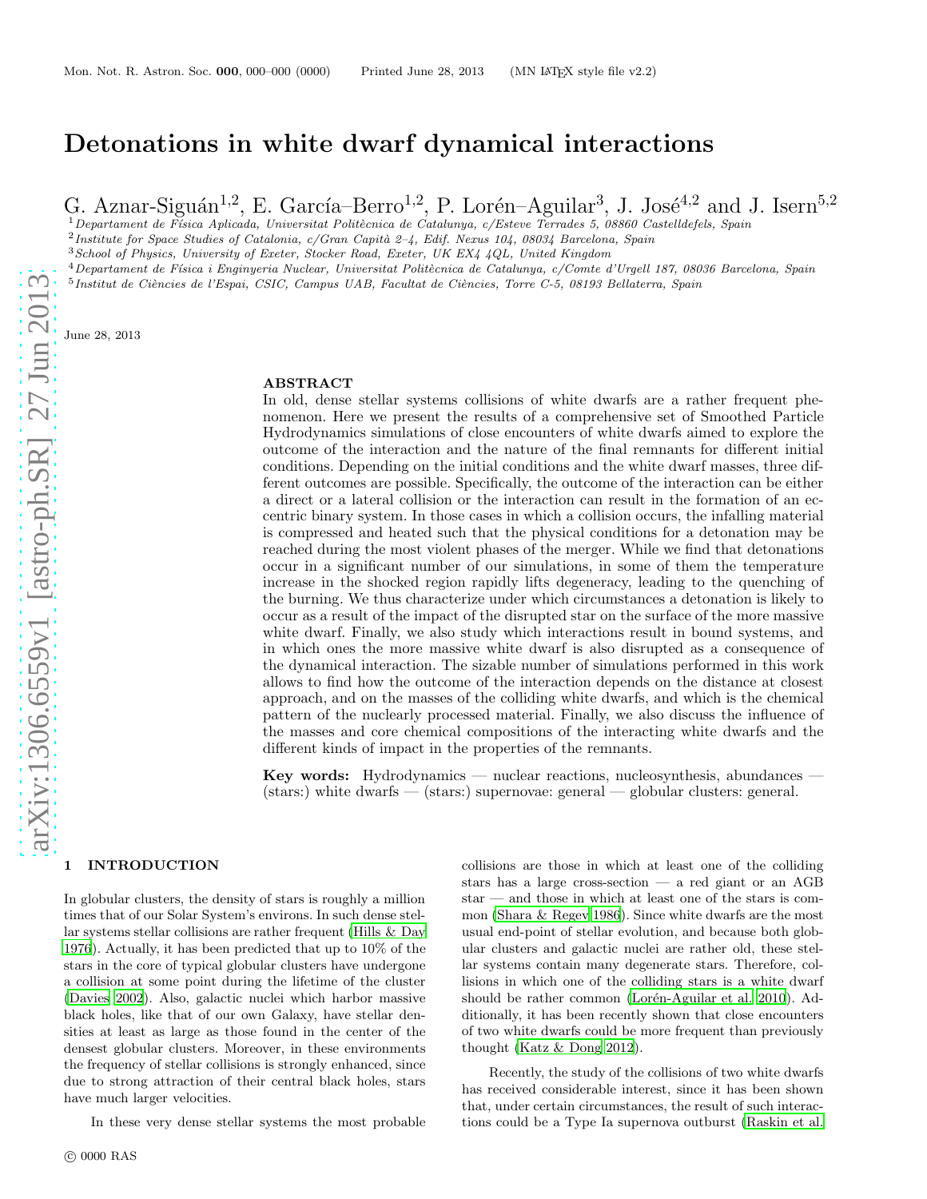# Detonations in white dwarf dynamical interactions

G. Aznar-Siguán<sup>1,2</sup>, E. García–Berro<sup>1,2</sup>, P. Lorén–Aguilar<sup>3</sup>, J. José<sup>4,2</sup> and J. Isern<sup>5,2</sup>

 $1$ Departament de Física Aplicada, Universitat Politècnica de Catalunya, c/Esteve Terrades 5, 08860 Castelldefels, Spain

 $^2$ Institute for Space Studies of Catalonia, c/Gran Capità 2–4, Edif. Nexus 104, 08034 Barcelona, Spain

<sup>3</sup>School of Physics, University of Exeter, Stocker Road, Exeter, UK EX4 4QL, United Kingdom

 $4$ Departament de Física i Enginyeria Nuclear, Universitat Politècnica de Catalunya, c/Comte d'Urgell 187, 08036 Barcelona, Spain

<sup>5</sup> Institut de Ciències de l'Espai, CSIC, Campus UAB, Facultat de Ciències, Torre C-5, 08193 Bellaterra, Spain

June 28, 2013

#### ABSTRACT

In old, dense stellar systems collisions of white dwarfs are a rather frequent phenomenon. Here we present the results of a comprehensive set of Smoothed Particle Hydrodynamics simulations of close encounters of white dwarfs aimed to explore the outcome of the interaction and the nature of the final remnants for different initial conditions. Depending on the initial conditions and the white dwarf masses, three different outcomes are possible. Specifically, the outcome of the interaction can be either a direct or a lateral collision or the interaction can result in the formation of an eccentric binary system. In those cases in which a collision occurs, the infalling material is compressed and heated such that the physical conditions for a detonation may be reached during the most violent phases of the merger. While we find that detonations occur in a significant number of our simulations, in some of them the temperature increase in the shocked region rapidly lifts degeneracy, leading to the quenching of the burning. We thus characterize under which circumstances a detonation is likely to occur as a result of the impact of the disrupted star on the surface of the more massive white dwarf. Finally, we also study which interactions result in bound systems, and in which ones the more massive white dwarf is also disrupted as a consequence of the dynamical interaction. The sizable number of simulations performed in this work allows to find how the outcome of the interaction depends on the distance at closest approach, and on the masses of the colliding white dwarfs, and which is the chemical pattern of the nuclearly processed material. Finally, we also discuss the influence of the masses and core chemical compositions of the interacting white dwarfs and the different kinds of impact in the properties of the remnants.

Key words: Hydrodynamics — nuclear reactions, nucleosynthesis, abundances — (stars:) white dwarfs — (stars:) supernovae: general — globular clusters: general.

#### 1 INTRODUCTION

In globular clusters, the density of stars is roughly a million times that of our Solar System's environs. In such dense stellar systems stellar collisions are rather frequent [\(Hills &](#page-17-0) Day [1976](#page-17-0)). Actually, it has been predicted that up to 10% of the stars in the core of typical globular clusters have undergone a collision at some point during the lifetime of the cluster [\(Davies 2002\)](#page-17-1). Also, galactic nuclei which harbor massive black holes, like that of our own Galaxy, have stellar densities at least as large as those found in the center of the densest globular clusters. Moreover, in these environments the frequency of stellar collisions is strongly enhanced, since due to strong attraction of their central black holes, stars have much larger velocities.

In these very dense stellar systems the most probable

collisions are those in which at least one of the colliding stars has a large cross-section — a red giant or an AGB star — and those in which at least one of the stars is common [\(Shara & Regev 1986](#page-17-2)). Since white dwarfs are the most usual end-point of stellar evolution, and because both globular clusters and galactic nuclei are rather old, these stellar systems contain many degenerate stars. Therefore, collisions in which one of the colliding stars is a white dwarf should be rather common (Lorén-Aguilar et al. 2010). Additionally, it has been recently shown that close encounters of two white dwarfs could be more frequent than previously thought [\(Katz & Dong 2012\)](#page-17-4).

Recently, the study of the collisions of two white dwarfs has received considerable interest, since it has been shown that, under certain circumstances, the result of such interactions could be a Type Ia supernova outburst [\(Raskin et al.](#page-17-5)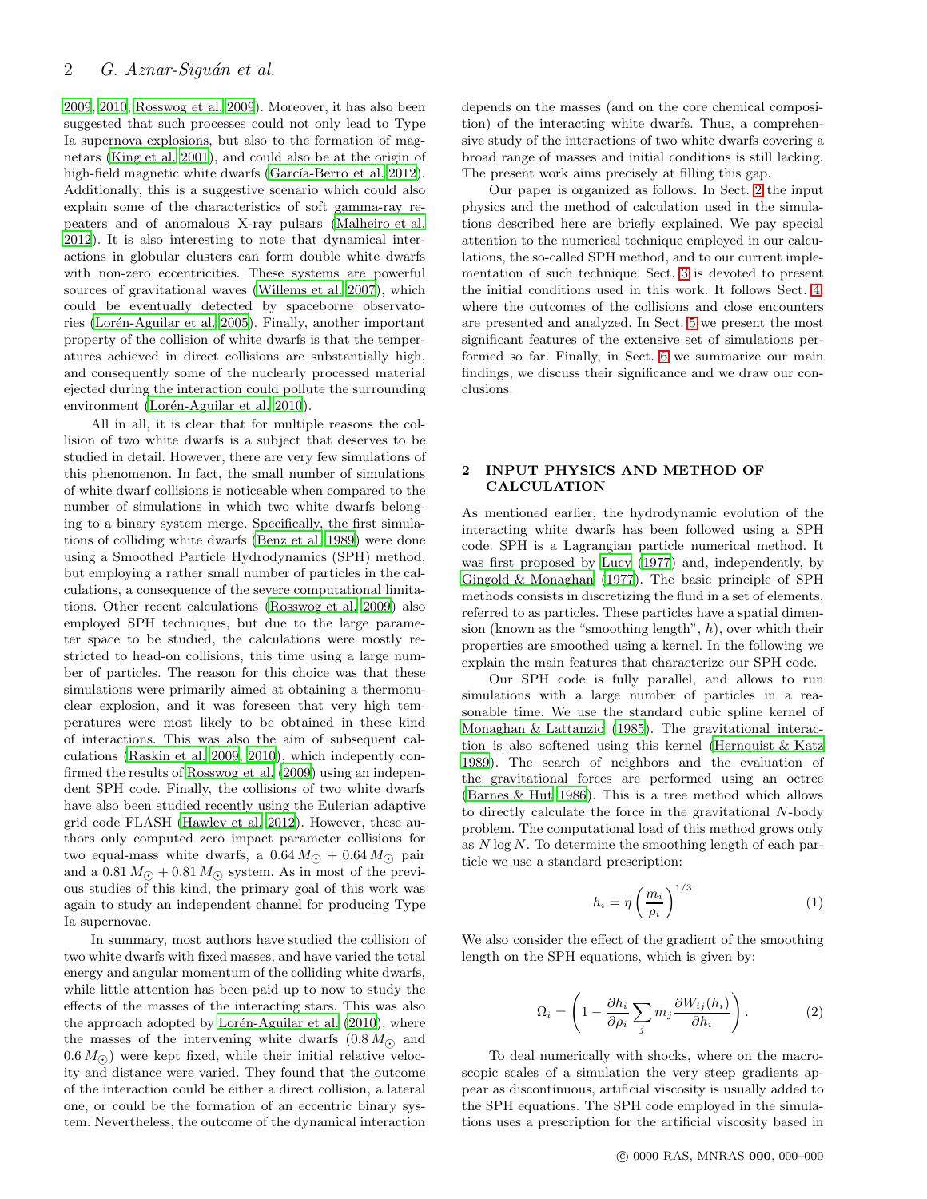[2009](#page-17-5), [2010](#page-17-6); [Rosswog et al. 2009](#page-17-7)). Moreover, it has also been suggested that such processes could not only lead to Type Ia supernova explosions, but also to the formation of magnetars [\(King et al. 2001\)](#page-17-8), and could also be at the origin of high-field magnetic white dwarfs (García-Berro et al. 2012). Additionally, this is a suggestive scenario which could also explain some of the characteristics of soft gamma-ray repeaters and of anomalous X-ray pulsars [\(Malheiro et al.](#page-17-10) [2012](#page-17-10)). It is also interesting to note that dynamical interactions in globular clusters can form double white dwarfs with non-zero eccentricities. These systems are powerful sources of gravitational waves [\(Willems et al. 2007](#page-17-11)), which could be eventually detected by spaceborne observatories (Lorén-Aguilar et al. 2005). Finally, another important property of the collision of white dwarfs is that the temperatures achieved in direct collisions are substantially high, and consequently some of the nuclearly processed material ejected during the interaction could pollute the surrounding environment (Lorén-Aguilar et al. 2010).

All in all, it is clear that for multiple reasons the collision of two white dwarfs is a subject that deserves to be studied in detail. However, there are very few simulations of this phenomenon. In fact, the small number of simulations of white dwarf collisions is noticeable when compared to the number of simulations in which two white dwarfs belonging to a binary system merge. Specifically, the first simulations of colliding white dwarfs [\(Benz et al. 1989](#page-17-13)) were done using a Smoothed Particle Hydrodynamics (SPH) method, but employing a rather small number of particles in the calculations, a consequence of the severe computational limitations. Other recent calculations [\(Rosswog et al. 2009](#page-17-7)) also employed SPH techniques, but due to the large parameter space to be studied, the calculations were mostly restricted to head-on collisions, this time using a large number of particles. The reason for this choice was that these simulations were primarily aimed at obtaining a thermonuclear explosion, and it was foreseen that very high temperatures were most likely to be obtained in these kind of interactions. This was also the aim of subsequent calculations [\(Raskin et al. 2009,](#page-17-5) [2010](#page-17-6)), which indepently confirmed the results of [Rosswog et al. \(2009](#page-17-7)) using an independent SPH code. Finally, the collisions of two white dwarfs have also been studied recently using the Eulerian adaptive grid code FLASH [\(Hawley et al. 2012](#page-17-14)). However, these authors only computed zero impact parameter collisions for two equal-mass white dwarfs, a  $0.64 M_{\odot} + 0.64 M_{\odot}$  pair and a 0.81  $M_{\odot}$  + 0.81  $M_{\odot}$  system. As in most of the previous studies of this kind, the primary goal of this work was again to study an independent channel for producing Type Ia supernovae.

In summary, most authors have studied the collision of two white dwarfs with fixed masses, and have varied the total energy and angular momentum of the colliding white dwarfs, while little attention has been paid up to now to study the effects of the masses of the interacting stars. This was also the approach adopted by Lorén-Aguilar et al.  $(2010)$ , where the masses of the intervening white dwarfs  $(0.8 M_{\odot})$  and  $(0.6 M_{\odot})$  were kept fixed, while their initial relative velocity and distance were varied. They found that the outcome of the interaction could be either a direct collision, a lateral one, or could be the formation of an eccentric binary system. Nevertheless, the outcome of the dynamical interaction depends on the masses (and on the core chemical composition) of the interacting white dwarfs. Thus, a comprehensive study of the interactions of two white dwarfs covering a broad range of masses and initial conditions is still lacking. The present work aims precisely at filling this gap.

Our paper is organized as follows. In Sect. [2](#page-1-0) the input physics and the method of calculation used in the simulations described here are briefly explained. We pay special attention to the numerical technique employed in our calculations, the so-called SPH method, and to our current implementation of such technique. Sect. [3](#page-2-0) is devoted to present the initial conditions used in this work. It follows Sect. [4,](#page-5-0) where the outcomes of the collisions and close encounters are presented and analyzed. In Sect. [5](#page-8-0) we present the most significant features of the extensive set of simulations performed so far. Finally, in Sect. [6](#page-16-0) we summarize our main findings, we discuss their significance and we draw our conclusions.

# <span id="page-1-0"></span>2 INPUT PHYSICS AND METHOD OF CALCULATION

As mentioned earlier, the hydrodynamic evolution of the interacting white dwarfs has been followed using a SPH code. SPH is a Lagrangian particle numerical method. It was first proposed by [Lucy \(1977](#page-17-15)) and, independently, by [Gingold & Monaghan \(1977](#page-17-16)). The basic principle of SPH methods consists in discretizing the fluid in a set of elements, referred to as particles. These particles have a spatial dimension (known as the "smoothing length",  $h$ ), over which their properties are smoothed using a kernel. In the following we explain the main features that characterize our SPH code.

Our SPH code is fully parallel, and allows to run simulations with a large number of particles in a reasonable time. We use the standard cubic spline kernel of [Monaghan & Lattanzio \(1985](#page-17-17)). The gravitational interaction is also softened using this kernel [\(Hernquist & Katz](#page-17-18) [1989](#page-17-18)). The search of neighbors and the evaluation of the gravitational forces are performed using an octree [\(Barnes & Hut 1986](#page-17-19)). This is a tree method which allows to directly calculate the force in the gravitational N-body problem. The computational load of this method grows only as  $N \log N$ . To determine the smoothing length of each particle we use a standard prescription:

$$
h_i = \eta \left(\frac{m_i}{\rho_i}\right)^{1/3} \tag{1}
$$

We also consider the effect of the gradient of the smoothing length on the SPH equations, which is given by:

$$
\Omega_i = \left(1 - \frac{\partial h_i}{\partial \rho_i} \sum_j m_j \frac{\partial W_{ij}(h_i)}{\partial h_i}\right). \tag{2}
$$

To deal numerically with shocks, where on the macroscopic scales of a simulation the very steep gradients appear as discontinuous, artificial viscosity is usually added to the SPH equations. The SPH code employed in the simulations uses a prescription for the artificial viscosity based in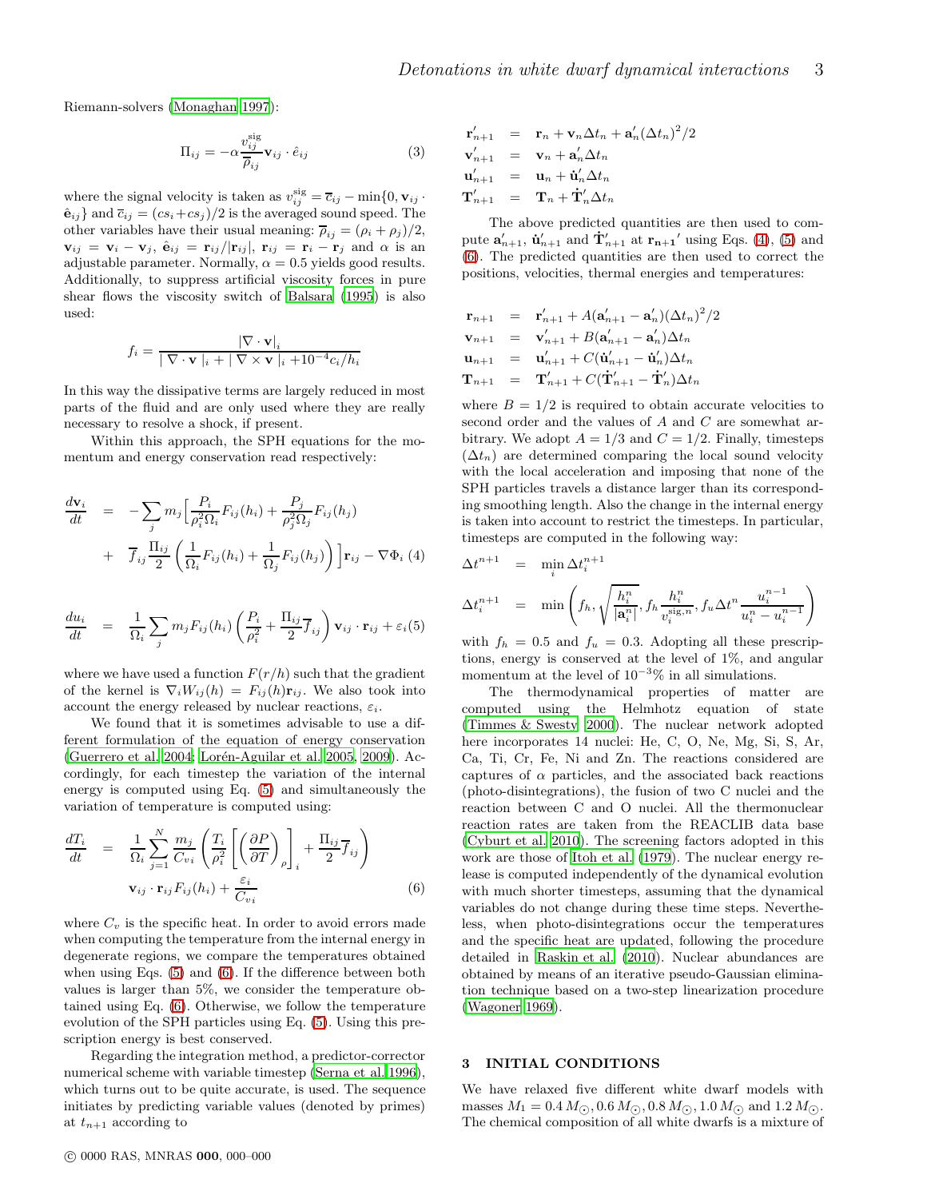Riemann-solvers [\(Monaghan 1997](#page-17-20)):

<span id="page-2-4"></span>
$$
\Pi_{ij} = -\alpha \frac{v_{ij}^{\text{sig}}}{\overline{\rho}_{ij}} \mathbf{v}_{ij} \cdot \hat{e}_{ij}
$$
 (3)

where the signal velocity is taken as  $v_{ij}^{\text{sig}} = \overline{c}_{ij} - \min\{0, \mathbf{v}_{ij} \}$ .  $\hat{\mathbf{e}}_{ij}$  and  $\overline{c}_{ij} = (cs_i + cs_j)/2$  is the averaged sound speed. The other variables have their usual meaning:  $\overline{\rho}_{ij} = (\rho_i + \rho_j)/2$ ,  ${\bf v}_{ij} = {\bf v}_i - {\bf v}_j$ ,  $\hat{\bf e}_{ij} = {\bf r}_{ij}/|{\bf r}_{ij}|$ ,  ${\bf r}_{ij} = {\bf r}_i - {\bf r}_j$  and  $\alpha$  is an adjustable parameter. Normally,  $\alpha = 0.5$  yields good results. Additionally, to suppress artificial viscosity forces in pure shear flows the viscosity switch of [Balsara \(1995\)](#page-17-21) is also used:

$$
f_i = \frac{\left|\nabla \cdot \mathbf{v}\right|_i}{\left|\nabla \cdot \mathbf{v}\right|_i + \left|\nabla \times \mathbf{v}\right|_i + 10^{-4} c_i/h_i}
$$

In this way the dissipative terms are largely reduced in most parts of the fluid and are only used where they are really necessary to resolve a shock, if present.

Within this approach, the SPH equations for the momentum and energy conservation read respectively:

<span id="page-2-3"></span>
$$
\frac{d\mathbf{v}_i}{dt} = -\sum_j m_j \Big[ \frac{P_i}{\rho_i^2 \Omega_i} F_{ij}(h_i) + \frac{P_j}{\rho_j^2 \Omega_j} F_{ij}(h_j) + \overline{f}_{ij} \frac{\Pi_{ij}}{2} \Big( \frac{1}{\Omega_i} F_{ij}(h_i) + \frac{1}{\Omega_j} F_{ij}(h_j) \Big) \Big] \mathbf{r}_{ij} - \nabla \Phi_i \tag{4}
$$

<span id="page-2-1"></span>
$$
\frac{du_i}{dt} = \frac{1}{\Omega_i} \sum_j m_j F_{ij}(h_i) \left( \frac{P_i}{\rho_i^2} + \frac{\Pi_{ij}}{2} \overline{f}_{ij} \right) \mathbf{v}_{ij} \cdot \mathbf{r}_{ij} + \varepsilon_i(5)
$$

where we have used a function  $F(r/h)$  such that the gradient of the kernel is  $\nabla_i W_{ij}(h) = F_{ij}(h) \mathbf{r}_{ij}$ . We also took into account the energy released by nuclear reactions,  $\varepsilon_i$ .

We found that it is sometimes advisable to use a different formulation of the equation of energy conservation [\(Guerrero et al. 2004;](#page-17-22) Lorén-Aguilar et al. 2005, [2009\)](#page-17-23). Accordingly, for each timestep the variation of the internal energy is computed using Eq. [\(5\)](#page-2-1) and simultaneously the variation of temperature is computed using:

<span id="page-2-2"></span>
$$
\frac{dT_i}{dt} = \frac{1}{\Omega_i} \sum_{j=1}^{N} \frac{m_j}{C_{vi}} \left( \frac{T_i}{\rho_i^2} \left[ \left( \frac{\partial P}{\partial T} \right)_{\rho} \right]_i + \frac{\Pi_{ij}}{2} \overline{f}_{ij} \right)
$$
  

$$
\mathbf{v}_{ij} \cdot \mathbf{r}_{ij} F_{ij}(h_i) + \frac{\varepsilon_i}{C_{vi}} \tag{6}
$$

where  $C_v$  is the specific heat. In order to avoid errors made when computing the temperature from the internal energy in degenerate regions, we compare the temperatures obtained when using Eqs. [\(5\)](#page-2-1) and [\(6\)](#page-2-2). If the difference between both values is larger than 5%, we consider the temperature obtained using Eq. [\(6\)](#page-2-2). Otherwise, we follow the temperature evolution of the SPH particles using Eq. [\(5\)](#page-2-1). Using this prescription energy is best conserved.

Regarding the integration method, a predictor-corrector numerical scheme with variable timestep [\(Serna et al. 1996](#page-17-24)), which turns out to be quite accurate, is used. The sequence initiates by predicting variable values (denoted by primes) at  $t_{n+1}$  according to

$$
\mathbf{r}_{n+1}' = \mathbf{r}_n + \mathbf{v}_n \Delta t_n + \mathbf{a}_n' (\Delta t_n)^2 / 2
$$
  
\n
$$
\mathbf{v}_{n+1}' = \mathbf{v}_n + \mathbf{a}_n' \Delta t_n
$$
  
\n
$$
\mathbf{u}_{n+1}' = \mathbf{u}_n + \mathbf{u}_n' \Delta t_n
$$
  
\n
$$
\mathbf{T}_{n+1}' = \mathbf{T}_n + \mathbf{T}_n' \Delta t_n
$$

The above predicted quantities are then used to compute  $\mathbf{a}'_{n+1}$ ,  $\mathbf{\dot{u}}'_{n+1}$  and  $\mathbf{\dot{T}}'_{n+1}$  at  $\mathbf{r}_{n+1}'$  using Eqs. [\(4\)](#page-2-3), [\(5\)](#page-2-1) and [\(6\)](#page-2-2). The predicted quantities are then used to correct the positions, velocities, thermal energies and temperatures:

$$
\begin{array}{rcl}\n\mathbf{r}_{n+1} & = & \mathbf{r}'_{n+1} + A(\mathbf{a}'_{n+1} - \mathbf{a}'_n)(\Delta t_n)^2/2 \\
\mathbf{v}_{n+1} & = & \mathbf{v}'_{n+1} + B(\mathbf{a}'_{n+1} - \mathbf{a}'_n)\Delta t_n \\
\mathbf{u}_{n+1} & = & \mathbf{u}'_{n+1} + C(\mathbf{u}'_{n+1} - \mathbf{u}'_n)\Delta t_n \\
\mathbf{T}_{n+1} & = & \mathbf{T}'_{n+1} + C(\mathbf{T}'_{n+1} - \mathbf{T}'_n)\Delta t_n\n\end{array}
$$

where  $B = 1/2$  is required to obtain accurate velocities to second order and the values of A and C are somewhat arbitrary. We adopt  $A = 1/3$  and  $C = 1/2$ . Finally, timesteps  $(\Delta t_n)$  are determined comparing the local sound velocity with the local acceleration and imposing that none of the SPH particles travels a distance larger than its corresponding smoothing length. Also the change in the internal energy is taken into account to restrict the timesteps. In particular, timesteps are computed in the following way:

$$
\Delta t^{n+1} = \min_{i} \Delta t_i^{n+1}
$$
\n
$$
\Delta t_i^{n+1} = \min \left( f_h, \sqrt{\frac{h_i^n}{|a_i^n|}}, f_h \frac{h_i^n}{v_i^{\text{sign}}}, f_u \Delta t^n \frac{u_i^{n-1}}{u_i^n - u_i^{n-1}} \right)
$$

with  $f_h = 0.5$  and  $f_u = 0.3$ . Adopting all these prescriptions, energy is conserved at the level of 1%, and angular momentum at the level of  $10^{-3}\%$  in all simulations.

The thermodynamical properties of matter are computed using the Helmhotz equation of state [\(Timmes & Swesty 2000\)](#page-17-25). The nuclear network adopted here incorporates 14 nuclei: He, C, O, Ne, Mg, Si, S, Ar, Ca, Ti, Cr, Fe, Ni and Zn. The reactions considered are captures of  $\alpha$  particles, and the associated back reactions (photo-disintegrations), the fusion of two C nuclei and the reaction between C and O nuclei. All the thermonuclear reaction rates are taken from the REACLIB data base [\(Cyburt et al. 2010](#page-17-26)). The screening factors adopted in this work are those of [Itoh et al. \(1979](#page-17-27)). The nuclear energy release is computed independently of the dynamical evolution with much shorter timesteps, assuming that the dynamical variables do not change during these time steps. Nevertheless, when photo-disintegrations occur the temperatures and the specific heat are updated, following the procedure detailed in [Raskin et al. \(2010\)](#page-17-6). Nuclear abundances are obtained by means of an iterative pseudo-Gaussian elimination technique based on a two-step linearization procedure [\(Wagoner 1969](#page-17-28)).

## <span id="page-2-0"></span>3 INITIAL CONDITIONS

We have relaxed five different white dwarf models with masses  $M_1 = 0.4 M_{\odot}$ ,  $0.6 M_{\odot}$ ,  $0.8 M_{\odot}$ ,  $1.0 M_{\odot}$  and  $1.2 M_{\odot}$ . The chemical composition of all white dwarfs is a mixture of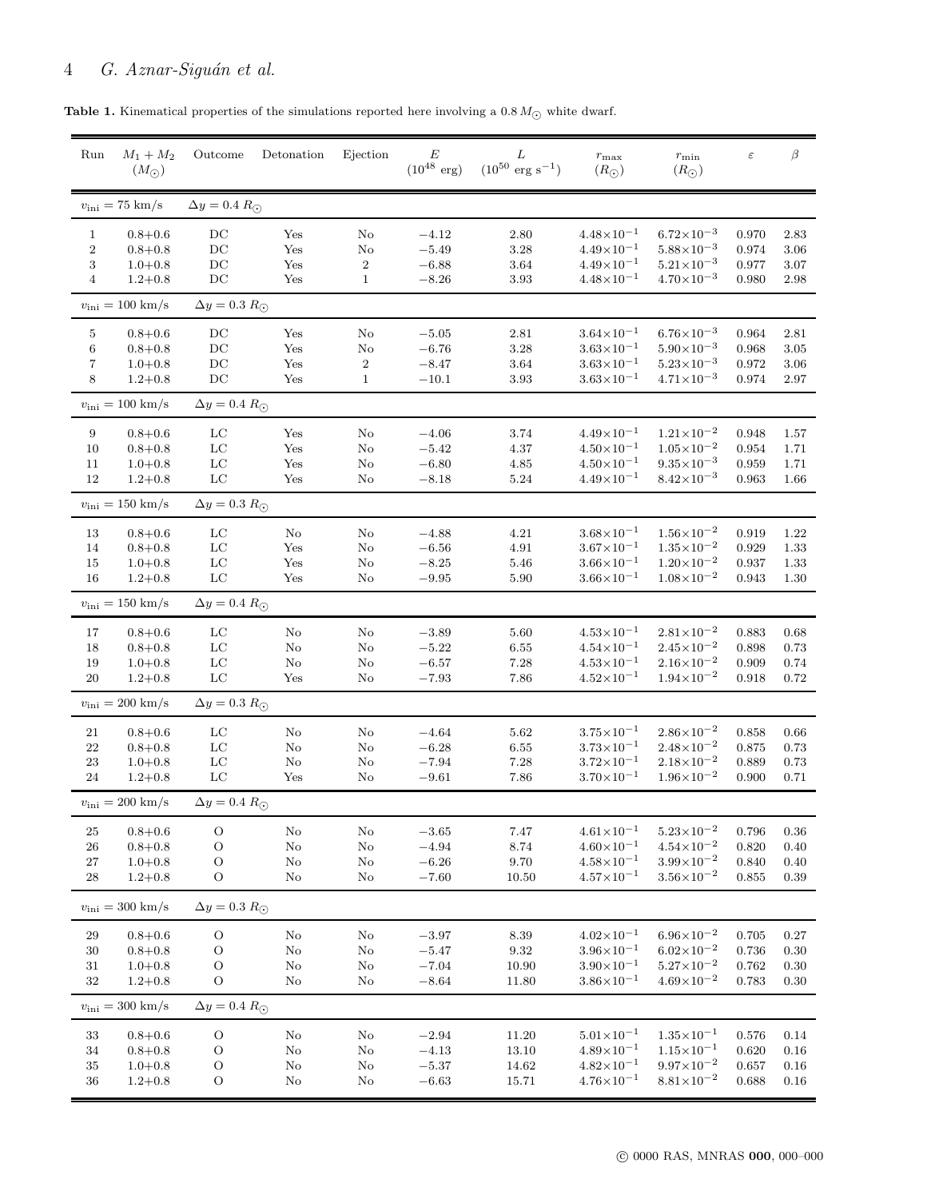| <b>Table 1.</b> Kinematical properties of the simulations reported here involving a 0.8 $M_{\odot}$ white dwarf. |  |  |  |
|------------------------------------------------------------------------------------------------------------------|--|--|--|
|------------------------------------------------------------------------------------------------------------------|--|--|--|

<span id="page-3-0"></span>

| Run                 | $M_1 + M_2$<br>$(M_{\odot})$        | Outcome                    | Detonation           | Ejection          | E<br>$(10^{48} \text{ erg})$ | L<br>$(10^{50} \text{ erg s}^{-1})$ | $r_{\rm max}$<br>$(R_{\odot})$               | $r_{\rm min}$<br>$(R_{\odot})$                 | $\varepsilon$  | $\beta$          |
|---------------------|-------------------------------------|----------------------------|----------------------|-------------------|------------------------------|-------------------------------------|----------------------------------------------|------------------------------------------------|----------------|------------------|
|                     | $v_{\rm ini} = 75$ km/s             | $\Delta y = 0.4 R_{\odot}$ |                      |                   |                              |                                     |                                              |                                                |                |                  |
| $\mathbf{1}$        | $0.8 + 0.6$                         | DC                         | Yes                  | No                | $-4.12$                      | $2.80\,$                            | $4.48 \times 10^{-1}$                        | $6.72\times10^{-3}$                            | 0.970          | 2.83             |
| $\,2$               | $0.8 + 0.8$                         | DC                         | Yes                  | No                | $-5.49$                      | $3.28\,$                            | $4.49\times10^{-1}$                          | $5.88\times10^{-3}$                            | 0.974          | 3.06             |
| 3<br>$\overline{4}$ | $1.0 + 0.8$<br>$1.2 + 0.8$          | DC<br>DC                   | Yes<br>Yes           | 2<br>$\mathbf{1}$ | $-6.88$<br>$-8.26$           | $3.64\,$<br>$3.93\,$                | $4.49\times10^{-1}$<br>$4.48 \times 10^{-1}$ | $5.21 \times 10^{-3}$<br>$4.70\times10^{-3}$   | 0.977<br>0.980 | 3.07<br>2.98     |
|                     | $v_{\rm ini} = 100 \; \rm km/s$     | $\Delta y = 0.3 R_{\odot}$ |                      |                   |                              |                                     |                                              |                                                |                |                  |
| 5                   | $0.8 + 0.6$                         | DC                         | Yes                  | No                | $-5.05$                      | 2.81                                | $3.64\times10^{-1}$                          | $6.76\times10^{-3}$                            | 0.964          | 2.81             |
| $\,6$               | $0.8 + 0.8$                         | DC                         | Yes                  | No                | $-6.76$                      | $3.28\,$                            | $3.63 \times 10^{-1}$                        | $5.90\times10^{-3}$                            | 0.968          | 3.05             |
| 7                   | $1.0 + 0.8$                         | DC                         | Yes                  | 2                 | $-8.47$                      | $3.64\,$                            | $3.63 \times 10^{-1}$                        | $5.23 \times 10^{-3}$                          | 0.972          | 3.06             |
| 8                   | $1.2 + 0.8$                         | DC                         | Yes                  | $\mathbf{1}$      | $-10.1$                      | 3.93                                | $3.63 \times 10^{-1}$                        | $4.71 \times 10^{-3}$                          | 0.974          | 2.97             |
|                     | $v_{\rm ini} = 100 \; \rm km/s$     | $\Delta y = 0.4 R_{\odot}$ |                      |                   |                              |                                     |                                              |                                                |                |                  |
| $\boldsymbol{9}$    | $0.8 + 0.6$                         | LC                         | Yes                  | No                | $-4.06$                      | 3.74                                | $4.49\times10^{-1}$                          | $1.21 \times 10^{-2}$                          | 0.948          | 1.57             |
| $10\,$              | $0.8 + 0.8$                         | LC                         | Yes                  | $\rm No$          | $-5.42$                      | 4.37                                | $4.50 \times 10^{-1}$                        | $1.05 \times 10^{-2}$                          | 0.954          | 1.71             |
| $11\,$              | $1.0 + 0.8$                         | LC                         | Yes                  | No                | $-6.80$                      | 4.85                                | $4.50 \times 10^{-1}$                        | $9.35 \times 10^{-3}$                          | 0.959          | 1.71             |
| $12\,$              | $1.2 + 0.8$                         | LC                         | Yes                  | No                | $-8.18$                      | $5.24\,$                            | $4.49\times10^{-1}$                          | $8.42\times10^{-3}$                            | 0.963          | 1.66             |
|                     | $v_{\rm ini} = 150 \; \rm km/s$     | $\Delta y = 0.3 R_{\odot}$ |                      |                   |                              |                                     |                                              |                                                |                |                  |
| 13                  | $0.8 + 0.6$                         | LC                         | No                   | No                | $-4.88$                      | 4.21                                | $3.68 \times 10^{-1}$                        | $1.56 \times 10^{-2}$                          | 0.919          | 1.22             |
| 14                  | $0.8 + 0.8$                         | LC                         | Yes                  | $\rm No$          | $-6.56$                      | 4.91                                | $3.67 \times 10^{-1}$                        | $1.35{\times}10^{-2}$                          | 0.929          | 1.33             |
| 15                  | $1.0 + 0.8$                         | LC                         | Yes                  | No                | $-8.25$                      | $5.46\,$                            | $3.66 \times 10^{-1}$                        | $1.20\times10^{-2}$                            | 0.937          | 1.33             |
| 16                  | $1.2 + 0.8$                         | LC                         | Yes                  | No                | $-9.95$                      | 5.90                                | $3.66 \times 10^{-1}$                        | $1.08\times10^{-2}$                            | 0.943          | 1.30             |
|                     | $v_{\rm ini} = 150 \; \rm km/s$     | $\Delta y = 0.4 R_{\odot}$ |                      |                   |                              |                                     |                                              |                                                |                |                  |
| 17                  | $0.8 + 0.6$                         | LC                         | No                   | No                | $-3.89$                      | 5.60                                | $4.53 \times 10^{-1}$                        | $2.81 \times 10^{-2}$                          | 0.883          | 0.68             |
| $18\,$              | $0.8 + 0.8$                         | $_{\rm LC}$                | No                   | No                | $-5.22$                      | $6.55\,$                            | $4.54 \times 10^{-1}$                        | $2.45 \times 10^{-2}$                          | 0.898          | 0.73             |
| 19                  | $1.0 + 0.8$                         | LC                         | No                   | No                | $-6.57$                      | 7.28                                | $4.53 \times 10^{-1}$                        | $2.16\times10^{-2}$                            | 0.909          | 0.74             |
| $20\,$              | $1.2 + 0.8$                         | $_{\rm LC}$                | Yes                  | No                | $-7.93$                      | 7.86                                | $4.52 \times 10^{-1}$                        | $1.94 \times 10^{-2}$                          | 0.918          | 0.72             |
|                     | $v_{\rm ini} = 200$ km/s            | $\Delta y = 0.3 R_{\odot}$ |                      |                   |                              |                                     |                                              |                                                |                |                  |
| 21                  | $0.8 + 0.6$                         | LC                         | No                   | No                | $-4.64$                      | $5.62\,$                            | $3.75 \times 10^{-1}$                        | $2.86 \times 10^{-2}$                          | 0.858          | 0.66             |
| $22\,$              | $0.8 + 0.8$                         | LC                         | No                   | No                | $-6.28$                      | $6.55\,$                            | $3.73 \times 10^{-1}$                        | $2.48\times10^{-2}$                            | 0.875          | 0.73             |
| $23\,$              | $1.0 + 0.8$                         | LC                         | No                   | No                | $-7.94$                      | 7.28                                | $3.72 \times 10^{-1}$                        | $2.18 \times 10^{-2}$                          | 0.889          | 0.73             |
| 24                  | $1.2 + 0.8$                         | LC                         | Yes                  | No                | $-9.61$                      | 7.86                                | $3.70\times10^{-1}$                          | $1.96 \times 10^{-2}$                          | 0.900          | 0.71             |
|                     | $v_{\rm ini} = 200$ km/s            | $\Delta y = 0.4 R_{\odot}$ |                      |                   |                              |                                     |                                              |                                                |                |                  |
|                     |                                     |                            |                      |                   |                              |                                     |                                              |                                                |                |                  |
| 25                  | $0.8 + 0.6$                         | $\rm{O}$                   | $\rm No$             | $\rm No$          | $-3.65$                      | $7.47\,$                            | $4.61 \times 10^{-1}$<br>$4.60\times10^{-1}$ | $5.23 \times 10^{-2}$<br>$4.54 \times 10^{-2}$ | 0.796          | 0.36             |
| $26\,$<br>$27\,$    | $0.8 + 0.8$<br>$1.0 + 0.8$          | $\circ$<br>${\rm O}$       | $\rm No$<br>$\rm No$ | No<br>$\rm No$    | $-4.94$<br>$-6.26$           | $8.74\,$<br>9.70                    | $4.58 \times 10^{-1}$                        | $3.99 \times 10^{-2}$                          | 0.820<br>0.840 | 0.40<br>$0.40\,$ |
| ${\bf 28}$          | $1.2 + 0.8$                         | $\circ$                    | No                   | No                | $-7.60$                      | 10.50                               | $4.57 \times 10^{-1}$                        | $3.56{\times}10^{-2}$                          | 0.855          | $0.39\,$         |
|                     | $v_{\text{ini}} = 300 \text{ km/s}$ | $\Delta y = 0.3 R_{\odot}$ |                      |                   |                              |                                     |                                              |                                                |                |                  |
| 29                  | $0.8 + 0.6$                         | $\rm{O}$                   | $\rm No$             | No                | $-3.97$                      | $8.39\,$                            | $4.02 \times 10^{-1}$                        | $6.96\times10^{-2}$                            | 0.705          | $0.27\,$         |
| 30                  | $0.8 + 0.8$                         | $\circ$                    | $\rm No$             | No                | $-5.47$                      | $\boldsymbol{9.32}$                 | $3.96 \times 10^{-1}$                        | $6.02\times10^{-2}$                            | 0.736          | 0.30             |
| 31                  | $1.0 + 0.8$                         | $\circ$                    | No                   | $\rm No$          | $-7.04$                      | 10.90                               | $3.90\times10^{-1}$                          | $5.27 \times 10^{-2}$                          | 0.762          | $0.30\,$         |
| $32\,$              | $1.2 + 0.8$                         | $\mathcal{O}$              | No                   | No                | $-8.64$                      | 11.80                               | $3.86 \times 10^{-1}$                        | $4.69\times10^{-2}$                            | 0.783          | $0.30\,$         |
|                     | $v_{\rm ini} = 300$ km/s            | $\Delta y = 0.4 R_{\odot}$ |                      |                   |                              |                                     |                                              |                                                |                |                  |
|                     |                                     |                            |                      |                   |                              |                                     |                                              |                                                |                |                  |
| 33                  | $0.8 + 0.6$                         | $\rm{O}$                   | $\rm No$             | $\rm No$          | $-2.94$                      | 11.20                               | $5.01 \times 10^{-1}$                        | $1.35 \times 10^{-1}$                          | 0.576          | $0.14\,$         |
| 34                  | $0.8 + 0.8$                         | $\rm{O}$                   | $\rm No$             | No                | $-4.13$                      | 13.10                               | $4.89\times10^{-1}$                          | $1.15 \times 10^{-1}$                          | 0.620          | 0.16             |
| $35\,$              | $1.0 + 0.8$                         | $\circ$                    | $\rm No$             | $\rm No$          | $-5.37$                      | 14.62                               | $4.82 \times 10^{-1}$                        | $9.97 \times 10^{-2}$                          | 0.657          | $0.16\,$         |
| 36                  | $1.2 + 0.8$                         | $\mathcal{O}$              | $\rm No$             | $\rm No$          | $-6.63$                      | 15.71                               | $4.76 \times 10^{-1}$                        | $8.81 \times 10^{-2}$                          | 0.688          | $0.16\,$         |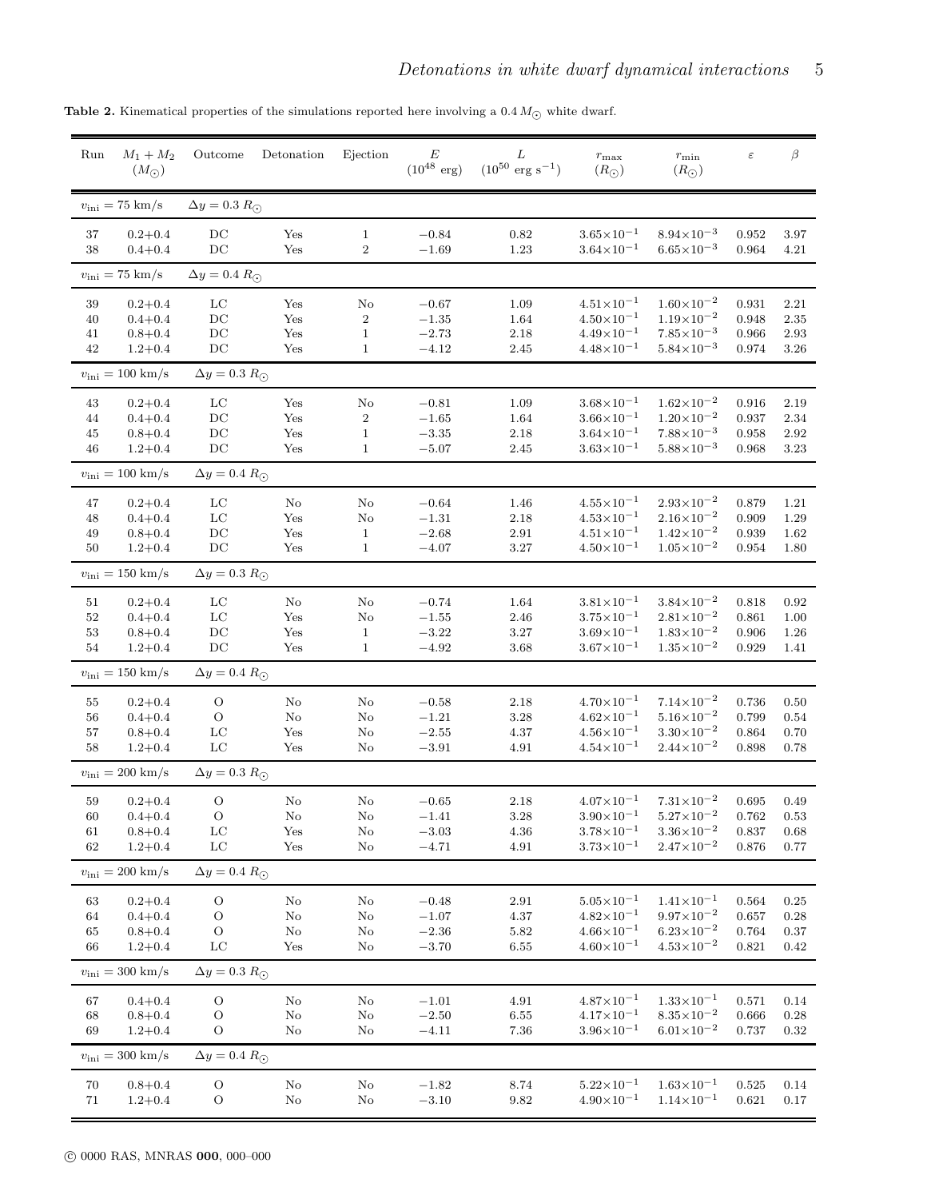<span id="page-4-0"></span>

| Run          | $M_1 + M_2$<br>$(M_{\odot})$    | Outcome                    | Detonation     | Ejection                       | E<br>$(10^{48} \text{ erg})$ | L<br>$(10^{50} \text{ erg s}^{-1})$ | $r_{\rm max}$<br>$(R_{\bigodot})$              | $r_{\min}$<br>$(R_{\odot})$                    | $\varepsilon$  | $\beta$      |
|--------------|---------------------------------|----------------------------|----------------|--------------------------------|------------------------------|-------------------------------------|------------------------------------------------|------------------------------------------------|----------------|--------------|
|              | $v_{\rm ini} = 75$ km/s         | $\Delta y = 0.3 R_{\odot}$ |                |                                |                              |                                     |                                                |                                                |                |              |
| 37<br>38     | $0.2 + 0.4$<br>$0.4 + 0.4$      | $_{\rm DC}$<br>DC          | Yes<br>Yes     | $\mathbf{1}$<br>$\overline{2}$ | $-0.84$<br>$-1.69$           | 0.82<br>1.23                        | $3.65 \times 10^{-1}$<br>$3.64 \times 10^{-1}$ | $8.94 \times 10^{-3}$<br>$6.65 \times 10^{-3}$ | 0.952<br>0.964 | 3.97<br>4.21 |
|              | $v_{\rm ini} = 75$ km/s         | $\Delta y = 0.4 R_{\odot}$ |                |                                |                              |                                     |                                                |                                                |                |              |
| $39\,$       | $0.2 + 0.4$                     | $_{\rm LC}$                | Yes            | No                             | $-0.67$                      | 1.09                                | $4.51 \times 10^{-1}$                          | $1.60\times10^{-2}$                            | 0.931          | 2.21         |
| 40           | $0.4 + 0.4$<br>$0.8 + 0.4$      | DC<br>DC                   | Yes            | $\boldsymbol{2}$               | $-1.35$                      | 1.64                                | $4.50 \times 10^{-1}$<br>$4.49\times10^{-1}$   | $1.19\times10^{-2}$<br>$7.85 \times 10^{-3}$   | 0.948<br>0.966 | 2.35<br>2.93 |
| 41<br>42     | $1.2 + 0.4$                     | DC                         | Yes<br>Yes     | $\mathbf{1}$<br>$\mathbf{1}$   | $-2.73$<br>$-4.12$           | $2.18\,$<br>2.45                    | $4.48 \times 10^{-1}$                          | $5.84\times10^{-3}$                            | 0.974          | 3.26         |
|              | $v_{\rm ini} = 100 \; \rm km/s$ | $\Delta y = 0.3 R_{\odot}$ |                |                                |                              |                                     |                                                |                                                |                |              |
|              |                                 |                            |                |                                |                              |                                     |                                                |                                                |                |              |
| 43<br>44     | $0.2 + 0.4$<br>$0.4 + 0.4$      | $_{\rm LC}$<br>DC          | Yes<br>Yes     | No<br>$\,2$                    | $-0.81$<br>$-1.65$           | 1.09<br>1.64                        | $3.68 \times 10^{-1}$<br>$3.66 \times 10^{-1}$ | $1.62\times10^{-2}$<br>$1.20\times10^{-2}$     | 0.916<br>0.937 | 2.19<br>2.34 |
| 45           | $0.8 + 0.4$                     | DC                         | Yes            | $\mathbf{1}$                   | $-3.35$                      | $2.18\,$                            | $3.64 \times 10^{-1}$                          | $7.88\times10^{-3}$                            | 0.958          | 2.92         |
| 46           | $1.2 + 0.4$                     | DC                         | Yes            | $\mathbf{1}$                   | $-5.07$                      | 2.45                                | $3.63 \times 10^{-1}$                          | $5.88 \times 10^{-3}$                          | 0.968          | 3.23         |
|              | $v_{\rm ini} = 100 \; \rm km/s$ | $\Delta y = 0.4 R_{\odot}$ |                |                                |                              |                                     |                                                |                                                |                |              |
| 47           | $0.2 + 0.4$                     | $_{\rm LC}$                | $\rm No$       | No                             | $-0.64$                      | 1.46                                | $4.55 \times 10^{-1}$                          | $2.93 \times 10^{-2}$                          | 0.879          | 1.21         |
| 48           | $0.4 + 0.4$                     | $_{\rm LC}$                | Yes            | No                             | $-1.31$                      | 2.18                                | $4.53 \times 10^{-1}$                          | $2.16\times10^{-2}$                            | 0.909          | 1.29         |
| 49           | $0.8 + 0.4$                     | DC                         | Yes            | $\mathbf{1}$                   | $-2.68$                      | $2.91\,$                            | $4.51 \times 10^{-1}$                          | $1.42 \times 10^{-2}$                          | 0.939          | 1.62         |
| 50           | $1.2 + 0.4$                     | DC                         | Yes            | $\mathbf{1}$                   | $-4.07$                      | 3.27                                | $4.50\times10^{-1}$                            | $1.05 \times 10^{-2}$                          | 0.954          | 1.80         |
|              | $v_{\rm ini} = 150 \; \rm km/s$ | $\Delta y = 0.3 R_{\odot}$ |                |                                |                              |                                     |                                                |                                                |                |              |
| 51           | $0.2 + 0.4$                     | LC                         | No             | No                             | $-0.74$                      | 1.64                                | $3.81 \times 10^{-1}$                          | $3.84 \times 10^{-2}$                          | 0.818          | 0.92         |
| $52\,$       | $0.4 + 0.4$                     | $_{\rm LC}$                | Yes            | No                             | $-1.55$                      | 2.46                                | $3.75 \times 10^{-1}$                          | $2.81 \times 10^{-2}$                          | 0.861          | 1.00         |
| $53\,$<br>54 | $0.8 + 0.4$<br>$1.2 + 0.4$      | DC<br>DC                   | Yes<br>Yes     | $\mathbf{1}$<br>$\mathbf{1}$   | $-3.22$<br>$-4.92$           | $3.27\,$<br>3.68                    | $3.69\times10^{-1}$<br>$3.67 \times 10^{-1}$   | $1.83 \times 10^{-2}$<br>$1.35 \times 10^{-2}$ | 0.906<br>0.929 | 1.26<br>1.41 |
|              | $v_{\rm ini} = 150 \; \rm km/s$ | $\Delta y = 0.4 R_{\odot}$ |                |                                |                              |                                     |                                                |                                                |                |              |
|              |                                 |                            |                |                                |                              |                                     | $4.70\times10^{-1}$                            | $7.14{\times}10^{-2}$                          |                |              |
| 55<br>56     | $0.2 + 0.4$<br>$0.4 + 0.4$      | $\circ$<br>O               | No<br>$\rm No$ | No<br>No                       | $-0.58$<br>$-1.21$           | $2.18\,$<br>$3.28\,$                | $4.62 \times 10^{-1}$                          | $5.16 \times 10^{-2}$                          | 0.736<br>0.799 | 0.50<br>0.54 |
| 57           | $0.8 + 0.4$                     | $_{\rm LC}$                | Yes            | No                             | $-2.55$                      | 4.37                                | $4.56 \times 10^{-1}$                          | $3.30\times10^{-2}$                            | 0.864          | 0.70         |
| 58           | $1.2 + 0.4$                     | $_{\rm LC}$                | Yes            | No                             | $-3.91$                      | 4.91                                | $4.54 \times 10^{-1}$                          | $2.44 \times 10^{-2}$                          | 0.898          | 0.78         |
|              | $v_{\rm ini} = 200$ km/s        | $\Delta y = 0.3 R_{\odot}$ |                |                                |                              |                                     |                                                |                                                |                |              |
| $59\,$       | $0.2 + 0.4$                     | $\circ$                    | $\rm No$       | No                             | $-0.65$                      | $2.18\,$                            | $4.07{\times}10^{-1}$                          | $7.31 \times 10^{-2}$                          | 0.695          | 0.49         |
| 60           | $0.4 + 0.4$                     | О                          | No             | No                             | $-1.41$                      | 3.28                                | $3.90\times10^{-1}$                            | $5.27 \times 10^{-2}$                          | 0.762          | 0.53         |
| 61           | $0.8 + 0.4$                     | $_{\rm LC}$                | Yes            | $\rm No$                       | $-3.03\,$                    | 4.36                                | $3.78 \times 10^{-1}$                          | $3.36 \times 10^{-2}$                          | 0.837          | 0.68         |
| 62           | $1.2 + 0.4$                     | $_{\rm LC}$                | Yes            | No                             | $-4.71\,$                    | $4.91\,$                            | $3.73 \times 10^{-1}$                          | $2.47{\times}10^{-2}$                          | 0.876          | 0.77         |
|              | $v_{\rm ini} = 200$ km/s        | $\Delta y = 0.4 R_{\odot}$ |                |                                |                              |                                     |                                                |                                                |                |              |
| 63           | $0.2 + 0.4$                     | $\circ$                    | $\rm No$       | No                             | $-0.48$                      | $2.91\,$                            | $5.05\times10^{-1}$                            | $1.41 \times 10^{-1}$                          | 0.564          | 0.25         |
| 64           | $0.4 + 0.4$                     | $\circ$                    | No             | $\rm No$                       | $-1.07$                      | $4.37\,$                            | $4.82\times10^{-1}$                            | $9.97 \times 10^{-2}$                          | 0.657          | 0.28         |
| 65           | $0.8 + 0.4$                     | $\mathcal{O}$              | $\rm No$       | $\rm No$                       | $-2.36$                      | $5.82\,$                            | $4.66 \times 10^{-1}$                          | $6.23\times10^{-2}$                            | 0.764          | 0.37         |
| 66           | $1.2 + 0.4$                     | $_{\rm LC}$                | Yes            | No                             | $-3.70$                      | 6.55                                | $4.60\times10^{-1}$                            | $4.53 \times 10^{-2}$                          | 0.821          | 0.42         |
|              | $v_{\rm ini} = 300$ km/s        | $\Delta y=0.3~R_\odot$     |                |                                |                              |                                     |                                                |                                                |                |              |
| 67           | $0.4 + 0.4$                     | $\circ$                    | $\rm No$       | $\rm No$                       | $-1.01$                      | $4.91\,$                            | $4.87\times10^{-1}$                            | $1.33 \times 10^{-1}$                          | 0.571          | 0.14         |
| 68           | $0.8 + 0.4$                     | О                          | $\rm No$       | No                             | $-2.50$                      | $6.55\,$                            | $4.17 \times 10^{-1}$                          | $8.35 \times 10^{-2}$                          | 0.666          | $0.28\,$     |
| 69           | $1.2 + 0.4$                     | $\circ$                    | $\rm No$       | $\rm No$                       | $-4.11$                      | 7.36                                | $3.96 \times 10^{-1}$                          | $6.01\times10^{-2}$                            | 0.737          | 0.32         |
|              | $v_{\rm ini} = 300$ km/s        | $\Delta y = 0.4 R_{\odot}$ |                |                                |                              |                                     |                                                |                                                |                |              |
| $70\,$       | $0.8 + 0.4$                     | $\rm{O}$                   | $\rm No$       | $\rm No$                       | $-1.82\,$                    | 8.74                                | $5.22 \times 10^{-1}$                          | $1.63 \times 10^{-1}$                          | 0.525          | 0.14         |
| $71\,$       | $1.2 + 0.4$                     | $\rm{O}$                   | $\rm No$       | $\rm No$                       | $-3.10$                      | 9.82                                | $4.90 \times 10^{-1}$                          | $1.14 \times 10^{-1}$                          | 0.621          | $0.17\,$     |

Table 2. Kinematical properties of the simulations reported here involving a  $0.4\,M_{\bigodot}$  white dwarf.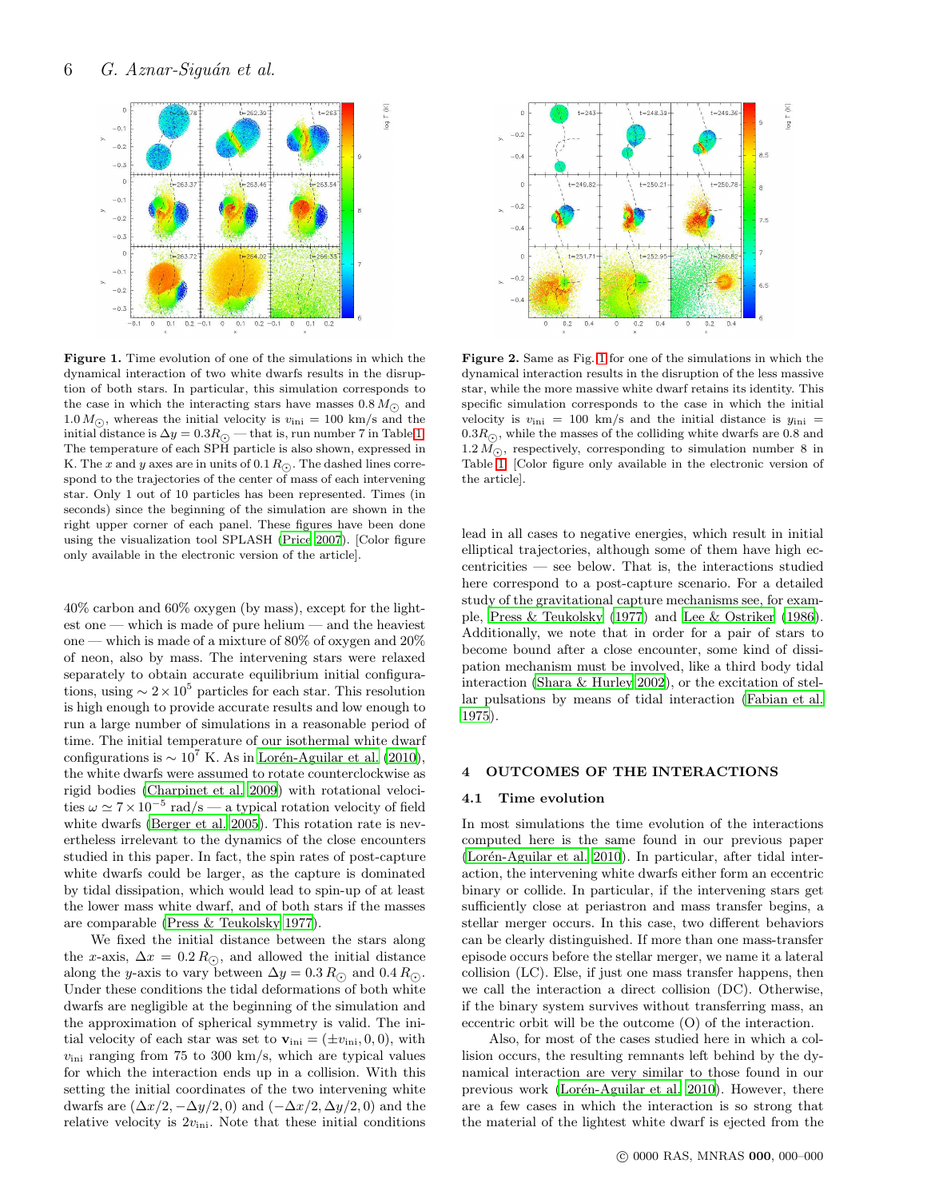

<span id="page-5-1"></span>Figure 1. Time evolution of one of the simulations in which the dynamical interaction of two white dwarfs results in the disruption of both stars. In particular, this simulation corresponds to the case in which the interacting stars have masses  $0.8 M_{\odot}$  and  $1.0 M_{\odot}$ , whereas the initial velocity is  $v_{\text{ini}} = 100 \text{ km/s}$  and the initial distance is  $\Delta y = 0.3 R_{\odot}$  — that is, run number 7 in Table [1.](#page-3-0) The temperature of each SPH particle is also shown, expressed in K. The x and y axes are in units of 0.1  $R_{\odot}$ . The dashed lines correspond to the trajectories of the center of mass of each intervening star. Only 1 out of 10 particles has been represented. Times (in seconds) since the beginning of the simulation are shown in the right upper corner of each panel. These figures have been done using the visualization tool SPLASH [\(Price 2007\)](#page-17-29). [Color figure only available in the electronic version of the article].

40% carbon and 60% oxygen (by mass), except for the lightest one — which is made of pure helium — and the heaviest one — which is made of a mixture of 80% of oxygen and 20% of neon, also by mass. The intervening stars were relaxed separately to obtain accurate equilibrium initial configurations, using  $\sim 2 \times 10^5$  particles for each star. This resolution is high enough to provide accurate results and low enough to run a large number of simulations in a reasonable period of time. The initial temperature of our isothermal white dwarf configurations is  $\sim 10^7$  K. As in Lorén-Aguilar et al. (2010), the white dwarfs were assumed to rotate counterclockwise as rigid bodies [\(Charpinet et al. 2009](#page-17-30)) with rotational velocities  $\omega \simeq 7 \times 10^{-5}$  rad/s — a typical rotation velocity of field white dwarfs [\(Berger et al. 2005](#page-17-31)). This rotation rate is nevertheless irrelevant to the dynamics of the close encounters studied in this paper. In fact, the spin rates of post-capture white dwarfs could be larger, as the capture is dominated by tidal dissipation, which would lead to spin-up of at least the lower mass white dwarf, and of both stars if the masses are comparable [\(Press & Teukolsky 1977](#page-17-32)).

We fixed the initial distance between the stars along the x-axis,  $\Delta x = 0.2 R_{\odot}$ , and allowed the initial distance along the y-axis to vary between  $\Delta y = 0.3 R_{\odot}$  and  $0.4 R_{\odot}$ . Under these conditions the tidal deformations of both white dwarfs are negligible at the beginning of the simulation and the approximation of spherical symmetry is valid. The initial velocity of each star was set to  $\mathbf{v}_{\text{ini}} = (\pm v_{\text{ini}}, 0, 0)$ , with  $v_{\text{ini}}$  ranging from 75 to 300 km/s, which are typical values for which the interaction ends up in a collision. With this setting the initial coordinates of the two intervening white dwarfs are  $(\Delta x/2, -\Delta y/2, 0)$  and  $(-\Delta x/2, \Delta y/2, 0)$  and the relative velocity is  $2v_{\text{ini}}$ . Note that these initial conditions



<span id="page-5-2"></span>Figure 2. Same as Fig. [1](#page-5-1) for one of the simulations in which the dynamical interaction results in the disruption of the less massive star, while the more massive white dwarf retains its identity. This specific simulation corresponds to the case in which the initial velocity is  $v_{\text{ini}} = 100 \text{ km/s}$  and the initial distance is  $y_{\text{ini}} =$  $0.3R<sub>o</sub>$ , while the masses of the colliding white dwarfs are 0.8 and  $1.2 M_{\odot}$ , respectively, corresponding to simulation number 8 in Table [1.](#page-3-0) [Color figure only available in the electronic version of the article].

lead in all cases to negative energies, which result in initial elliptical trajectories, although some of them have high eccentricities — see below. That is, the interactions studied here correspond to a post-capture scenario. For a detailed study of the gravitational capture mechanisms see, for example, [Press & Teukolsky \(1977\)](#page-17-32) and [Lee & Ostriker \(1986](#page-17-33)). Additionally, we note that in order for a pair of stars to become bound after a close encounter, some kind of dissipation mechanism must be involved, like a third body tidal interaction [\(Shara & Hurley 2002](#page-17-34)), or the excitation of stellar pulsations by means of tidal interaction [\(Fabian et al.](#page-17-35) [1975](#page-17-35)).

# <span id="page-5-0"></span>4 OUTCOMES OF THE INTERACTIONS

#### 4.1 Time evolution

In most simulations the time evolution of the interactions computed here is the same found in our previous paper (Lorén-Aguilar et al. 2010). In particular, after tidal interaction, the intervening white dwarfs either form an eccentric binary or collide. In particular, if the intervening stars get sufficiently close at periastron and mass transfer begins, a stellar merger occurs. In this case, two different behaviors can be clearly distinguished. If more than one mass-transfer episode occurs before the stellar merger, we name it a lateral collision (LC). Else, if just one mass transfer happens, then we call the interaction a direct collision (DC). Otherwise, if the binary system survives without transferring mass, an eccentric orbit will be the outcome (O) of the interaction.

Also, for most of the cases studied here in which a collision occurs, the resulting remnants left behind by the dynamical interaction are very similar to those found in our previous work (Lorén-Aguilar et al. 2010). However, there are a few cases in which the interaction is so strong that the material of the lightest white dwarf is ejected from the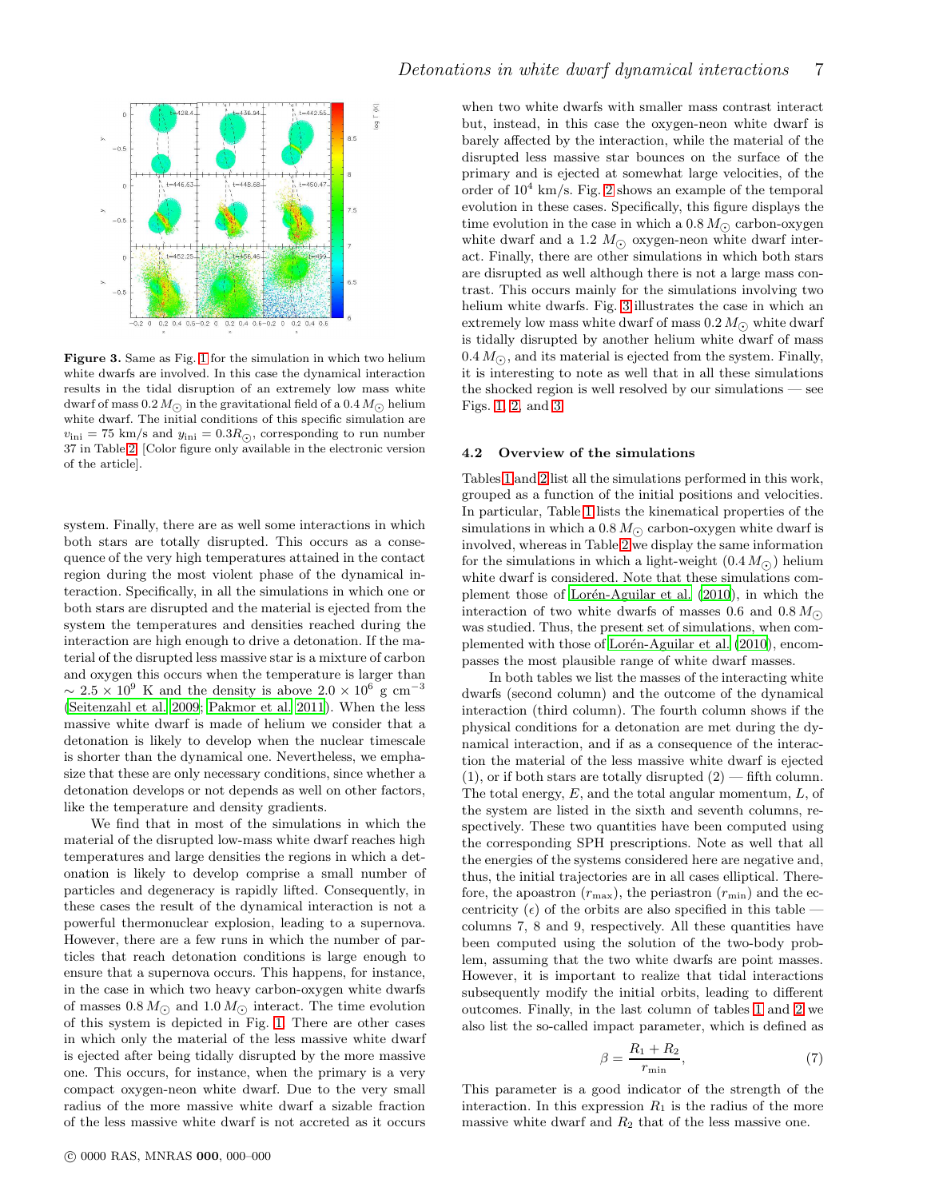

<span id="page-6-0"></span>Figure 3. Same as Fig. [1](#page-5-1) for the simulation in which two helium white dwarfs are involved. In this case the dynamical interaction results in the tidal disruption of an extremely low mass white dwarf of mass  $0.2 M_{\odot}$  in the gravitational field of a  $0.4 M_{\odot}$  helium white dwarf. The initial conditions of this specific simulation are  $v_{\text{ini}} = 75 \text{ km/s}$  and  $y_{\text{ini}} = 0.3 R_{\odot}$ , corresponding to run number 37 in Table [2.](#page-4-0) [Color figure only available in the electronic version of the article].

system. Finally, there are as well some interactions in which both stars are totally disrupted. This occurs as a consequence of the very high temperatures attained in the contact region during the most violent phase of the dynamical interaction. Specifically, in all the simulations in which one or both stars are disrupted and the material is ejected from the system the temperatures and densities reached during the interaction are high enough to drive a detonation. If the material of the disrupted less massive star is a mixture of carbon and oxygen this occurs when the temperature is larger than  $\sim 2.5 \times 10^9$  K and the density is above  $2.0 \times 10^6$  g cm<sup>-3</sup> [\(Seitenzahl et al. 2009](#page-17-36); [Pakmor et al. 2011](#page-17-37)). When the less massive white dwarf is made of helium we consider that a detonation is likely to develop when the nuclear timescale is shorter than the dynamical one. Nevertheless, we emphasize that these are only necessary conditions, since whether a detonation develops or not depends as well on other factors, like the temperature and density gradients.

We find that in most of the simulations in which the material of the disrupted low-mass white dwarf reaches high temperatures and large densities the regions in which a detonation is likely to develop comprise a small number of particles and degeneracy is rapidly lifted. Consequently, in these cases the result of the dynamical interaction is not a powerful thermonuclear explosion, leading to a supernova. However, there are a few runs in which the number of particles that reach detonation conditions is large enough to ensure that a supernova occurs. This happens, for instance, in the case in which two heavy carbon-oxygen white dwarfs of masses  $0.8 M_{\odot}$  and  $1.0 M_{\odot}$  interact. The time evolution of this system is depicted in Fig. [1.](#page-5-1) There are other cases in which only the material of the less massive white dwarf is ejected after being tidally disrupted by the more massive one. This occurs, for instance, when the primary is a very compact oxygen-neon white dwarf. Due to the very small radius of the more massive white dwarf a sizable fraction of the less massive white dwarf is not accreted as it occurs

when two white dwarfs with smaller mass contrast interact but, instead, in this case the oxygen-neon white dwarf is barely affected by the interaction, while the material of the disrupted less massive star bounces on the surface of the primary and is ejected at somewhat large velocities, of the order of  $10^4$  km/s. Fig. [2](#page-5-2) shows an example of the temporal evolution in these cases. Specifically, this figure displays the time evolution in the case in which a  $0.8 M_{\odot}$  carbon-oxygen white dwarf and a 1.2  $M_{\odot}$  oxygen-neon white dwarf interact. Finally, there are other simulations in which both stars are disrupted as well although there is not a large mass contrast. This occurs mainly for the simulations involving two helium white dwarfs. Fig. [3](#page-6-0) illustrates the case in which an extremely low mass white dwarf of mass  $0.2 M_{\odot}$  white dwarf is tidally disrupted by another helium white dwarf of mass  $0.4 M_{\odot}$ , and its material is ejected from the system. Finally, it is interesting to note as well that in all these simulations the shocked region is well resolved by our simulations — see Figs. [1,](#page-5-1) [2,](#page-5-2) and [3.](#page-6-0)

#### 4.2 Overview of the simulations

Tables [1](#page-3-0) and [2](#page-4-0) list all the simulations performed in this work, grouped as a function of the initial positions and velocities. In particular, Table [1](#page-3-0) lists the kinematical properties of the simulations in which a 0.8  $M_{\odot}$  carbon-oxygen white dwarf is involved, whereas in Table [2](#page-4-0) we display the same information for the simulations in which a light-weight  $(0.4 M_{\odot})$  helium white dwarf is considered. Note that these simulations complement those of Lorén-Aguilar et al. (2010), in which the interaction of two white dwarfs of masses 0.6 and  $0.8 M_{\odot}$ was studied. Thus, the present set of simulations, when complemented with those of Lorén-Aguilar et al. (2010), encompasses the most plausible range of white dwarf masses.

In both tables we list the masses of the interacting white dwarfs (second column) and the outcome of the dynamical interaction (third column). The fourth column shows if the physical conditions for a detonation are met during the dynamical interaction, and if as a consequence of the interaction the material of the less massive white dwarf is ejected  $(1)$ , or if both stars are totally disrupted  $(2)$  — fifth column. The total energy,  $E$ , and the total angular momentum,  $L$ , of the system are listed in the sixth and seventh columns, respectively. These two quantities have been computed using the corresponding SPH prescriptions. Note as well that all the energies of the systems considered here are negative and, thus, the initial trajectories are in all cases elliptical. Therefore, the apoastron  $(r_{\text{max}})$ , the periastron  $(r_{\text{min}})$  and the eccentricity  $(\epsilon)$  of the orbits are also specified in this table – columns 7, 8 and 9, respectively. All these quantities have been computed using the solution of the two-body problem, assuming that the two white dwarfs are point masses. However, it is important to realize that tidal interactions subsequently modify the initial orbits, leading to different outcomes. Finally, in the last column of tables [1](#page-3-0) and [2](#page-4-0) we also list the so-called impact parameter, which is defined as

<span id="page-6-1"></span>
$$
\beta = \frac{R_1 + R_2}{r_{\min}},\tag{7}
$$

This parameter is a good indicator of the strength of the interaction. In this expression  $R_1$  is the radius of the more massive white dwarf and  $R_2$  that of the less massive one.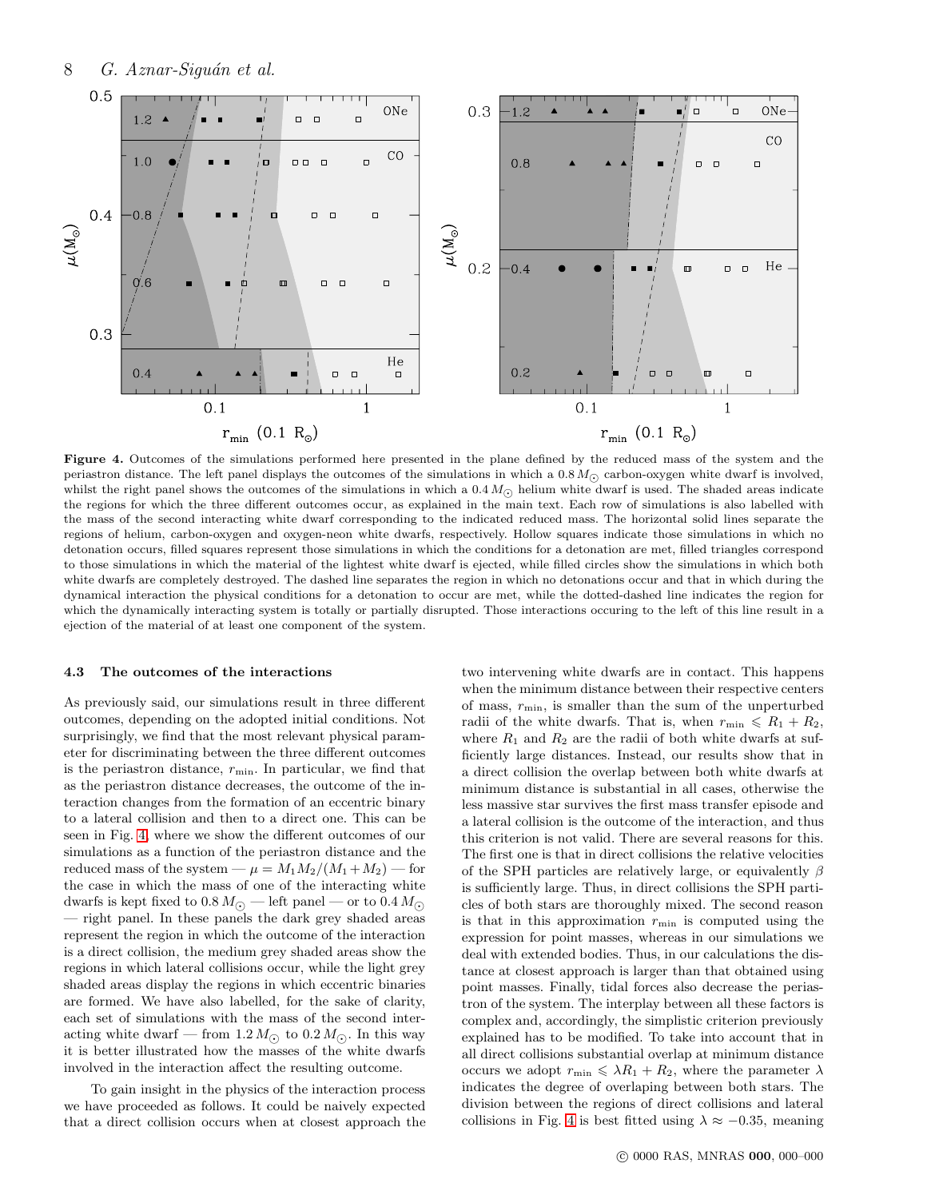

<span id="page-7-0"></span>Figure 4. Outcomes of the simulations performed here presented in the plane defined by the reduced mass of the system and the periastron distance. The left panel displays the outcomes of the simulations in which a  $0.8 M_{\odot}$  carbon-oxygen white dwarf is involved, whilst the right panel shows the outcomes of the simulations in which a  $0.4 M_{\odot}$  helium white dwarf is used. The shaded areas indicate the regions for which the three different outcomes occur, as explained in the main text. Each row of simulations is also labelled with the mass of the second interacting white dwarf corresponding to the indicated reduced mass. The horizontal solid lines separate the regions of helium, carbon-oxygen and oxygen-neon white dwarfs, respectively. Hollow squares indicate those simulations in which no detonation occurs, filled squares represent those simulations in which the conditions for a detonation are met, filled triangles correspond to those simulations in which the material of the lightest white dwarf is ejected, while filled circles show the simulations in which both white dwarfs are completely destroyed. The dashed line separates the region in which no detonations occur and that in which during the dynamical interaction the physical conditions for a detonation to occur are met, while the dotted-dashed line indicates the region for which the dynamically interacting system is totally or partially disrupted. Those interactions occuring to the left of this line result in a ejection of the material of at least one component of the system.

## 4.3 The outcomes of the interactions

As previously said, our simulations result in three different outcomes, depending on the adopted initial conditions. Not surprisingly, we find that the most relevant physical parameter for discriminating between the three different outcomes is the periastron distance,  $r_{\min}$ . In particular, we find that as the periastron distance decreases, the outcome of the interaction changes from the formation of an eccentric binary to a lateral collision and then to a direct one. This can be seen in Fig. [4,](#page-7-0) where we show the different outcomes of our simulations as a function of the periastron distance and the reduced mass of the system —  $\mu = M_1 M_2/(M_1 + M_2)$  — for the case in which the mass of one of the interacting white dwarfs is kept fixed to 0.8  $M_{\odot}$  — left panel — or to 0.4  $M_{\odot}$ — right panel. In these panels the dark grey shaded areas represent the region in which the outcome of the interaction is a direct collision, the medium grey shaded areas show the regions in which lateral collisions occur, while the light grey shaded areas display the regions in which eccentric binaries are formed. We have also labelled, for the sake of clarity, each set of simulations with the mass of the second interacting white dwarf — from  $1.2 M_{\odot}$  to  $0.2 M_{\odot}$ . In this way it is better illustrated how the masses of the white dwarfs involved in the interaction affect the resulting outcome.

To gain insight in the physics of the interaction process we have proceeded as follows. It could be naively expected that a direct collision occurs when at closest approach the

two intervening white dwarfs are in contact. This happens when the minimum distance between their respective centers of mass,  $r_{\min}$ , is smaller than the sum of the unperturbed radii of the white dwarfs. That is, when  $r_{\min} \le R_1 + R_2$ , where  $R_1$  and  $R_2$  are the radii of both white dwarfs at sufficiently large distances. Instead, our results show that in a direct collision the overlap between both white dwarfs at minimum distance is substantial in all cases, otherwise the less massive star survives the first mass transfer episode and a lateral collision is the outcome of the interaction, and thus this criterion is not valid. There are several reasons for this. The first one is that in direct collisions the relative velocities of the SPH particles are relatively large, or equivalently  $\beta$ is sufficiently large. Thus, in direct collisions the SPH particles of both stars are thoroughly mixed. The second reason is that in this approximation  $r_{\min}$  is computed using the expression for point masses, whereas in our simulations we deal with extended bodies. Thus, in our calculations the distance at closest approach is larger than that obtained using point masses. Finally, tidal forces also decrease the periastron of the system. The interplay between all these factors is complex and, accordingly, the simplistic criterion previously explained has to be modified. To take into account that in all direct collisions substantial overlap at minimum distance occurs we adopt  $r_{\min} \leq \lambda R_1 + R_2$ , where the parameter  $\lambda$ indicates the degree of overlaping between both stars. The division between the regions of direct collisions and lateral collisions in Fig. [4](#page-7-0) is best fitted using  $\lambda \approx -0.35$ , meaning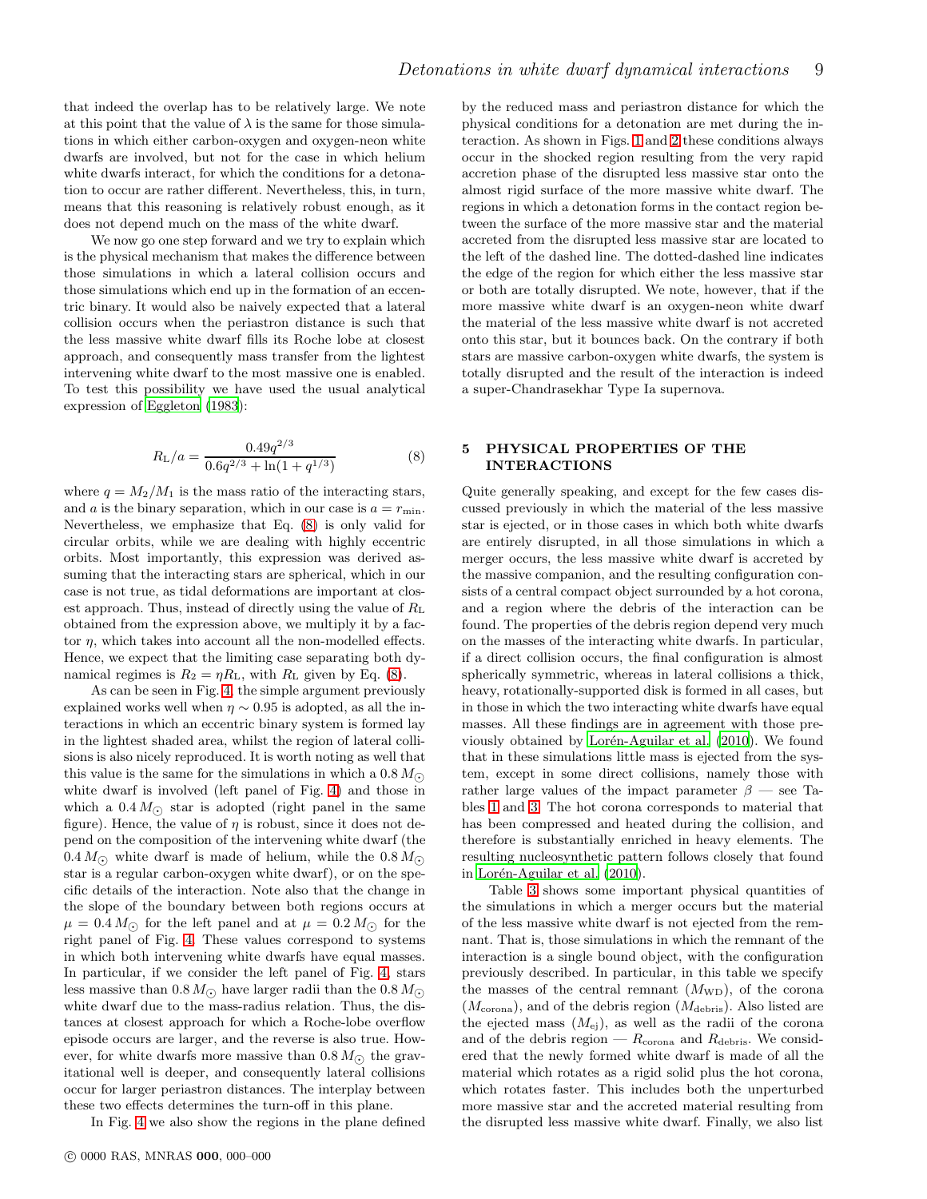that indeed the overlap has to be relatively large. We note at this point that the value of  $\lambda$  is the same for those simulations in which either carbon-oxygen and oxygen-neon white dwarfs are involved, but not for the case in which helium white dwarfs interact, for which the conditions for a detonation to occur are rather different. Nevertheless, this, in turn, means that this reasoning is relatively robust enough, as it does not depend much on the mass of the white dwarf.

We now go one step forward and we try to explain which is the physical mechanism that makes the difference between those simulations in which a lateral collision occurs and those simulations which end up in the formation of an eccentric binary. It would also be naively expected that a lateral collision occurs when the periastron distance is such that the less massive white dwarf fills its Roche lobe at closest approach, and consequently mass transfer from the lightest intervening white dwarf to the most massive one is enabled. To test this possibility we have used the usual analytical expression of [Eggleton \(1983](#page-17-38)):

<span id="page-8-1"></span>
$$
R_{\rm L}/a = \frac{0.49q^{2/3}}{0.6q^{2/3} + \ln(1 + q^{1/3})}
$$
(8)

where  $q = M_2/M_1$  is the mass ratio of the interacting stars, and a is the binary separation, which in our case is  $a = r_{\min}$ . Nevertheless, we emphasize that Eq. [\(8\)](#page-8-1) is only valid for circular orbits, while we are dealing with highly eccentric orbits. Most importantly, this expression was derived assuming that the interacting stars are spherical, which in our case is not true, as tidal deformations are important at closest approach. Thus, instead of directly using the value of  $R_{\text{L}}$ obtained from the expression above, we multiply it by a factor  $\eta$ , which takes into account all the non-modelled effects. Hence, we expect that the limiting case separating both dynamical regimes is  $R_2 = \eta R_L$ , with  $R_L$  given by Eq. [\(8\)](#page-8-1).

As can be seen in Fig. [4,](#page-7-0) the simple argument previously explained works well when  $\eta \sim 0.95$  is adopted, as all the interactions in which an eccentric binary system is formed lay in the lightest shaded area, whilst the region of lateral collisions is also nicely reproduced. It is worth noting as well that this value is the same for the simulations in which a  $0.8 M_{\odot}$ white dwarf is involved (left panel of Fig. [4\)](#page-7-0) and those in which a  $0.4 M_{\odot}$  star is adopted (right panel in the same figure). Hence, the value of  $\eta$  is robust, since it does not depend on the composition of the intervening white dwarf (the 0.4  $M_{\odot}$  white dwarf is made of helium, while the 0.8  $M_{\odot}$ star is a regular carbon-oxygen white dwarf), or on the specific details of the interaction. Note also that the change in the slope of the boundary between both regions occurs at  $\mu = 0.4 M_{\odot}$  for the left panel and at  $\mu = 0.2 M_{\odot}$  for the right panel of Fig. [4.](#page-7-0) These values correspond to systems in which both intervening white dwarfs have equal masses. In particular, if we consider the left panel of Fig. [4,](#page-7-0) stars less massive than 0.8  $M_{\odot}$  have larger radii than the 0.8  $M_{\odot}$ white dwarf due to the mass-radius relation. Thus, the distances at closest approach for which a Roche-lobe overflow episode occurs are larger, and the reverse is also true. However, for white dwarfs more massive than  $0.8 M_{\odot}$  the gravitational well is deeper, and consequently lateral collisions occur for larger periastron distances. The interplay between these two effects determines the turn-off in this plane.

In Fig. [4](#page-7-0) we also show the regions in the plane defined

by the reduced mass and periastron distance for which the physical conditions for a detonation are met during the interaction. As shown in Figs. [1](#page-5-1) and [2](#page-5-2) these conditions always occur in the shocked region resulting from the very rapid accretion phase of the disrupted less massive star onto the almost rigid surface of the more massive white dwarf. The regions in which a detonation forms in the contact region between the surface of the more massive star and the material accreted from the disrupted less massive star are located to the left of the dashed line. The dotted-dashed line indicates the edge of the region for which either the less massive star or both are totally disrupted. We note, however, that if the more massive white dwarf is an oxygen-neon white dwarf the material of the less massive white dwarf is not accreted onto this star, but it bounces back. On the contrary if both stars are massive carbon-oxygen white dwarfs, the system is totally disrupted and the result of the interaction is indeed a super-Chandrasekhar Type Ia supernova.

# <span id="page-8-0"></span>5 PHYSICAL PROPERTIES OF THE INTERACTIONS

Quite generally speaking, and except for the few cases discussed previously in which the material of the less massive star is ejected, or in those cases in which both white dwarfs are entirely disrupted, in all those simulations in which a merger occurs, the less massive white dwarf is accreted by the massive companion, and the resulting configuration consists of a central compact object surrounded by a hot corona, and a region where the debris of the interaction can be found. The properties of the debris region depend very much on the masses of the interacting white dwarfs. In particular, if a direct collision occurs, the final configuration is almost spherically symmetric, whereas in lateral collisions a thick, heavy, rotationally-supported disk is formed in all cases, but in those in which the two interacting white dwarfs have equal masses. All these findings are in agreement with those previously obtained by Lorén-Aguilar et al. (2010). We found that in these simulations little mass is ejected from the system, except in some direct collisions, namely those with rather large values of the impact parameter  $\beta$  — see Tables [1](#page-3-0) and [3.](#page-9-0) The hot corona corresponds to material that has been compressed and heated during the collision, and therefore is substantially enriched in heavy elements. The resulting nucleosynthetic pattern follows closely that found in Lorén-Aguilar et al.  $(2010)$ .

Table [3](#page-9-0) shows some important physical quantities of the simulations in which a merger occurs but the material of the less massive white dwarf is not ejected from the remnant. That is, those simulations in which the remnant of the interaction is a single bound object, with the configuration previously described. In particular, in this table we specify the masses of the central remnant  $(M_{WD})$ , of the corona  $(M_{\rm corona})$ , and of the debris region  $(M_{\rm debris})$ . Also listed are the ejected mass  $(M_{\rm ej})$ , as well as the radii of the corona and of the debris region —  $R_{\rm corona}$  and  $R_{\rm debris}.$  We considered that the newly formed white dwarf is made of all the material which rotates as a rigid solid plus the hot corona, which rotates faster. This includes both the unperturbed more massive star and the accreted material resulting from the disrupted less massive white dwarf. Finally, we also list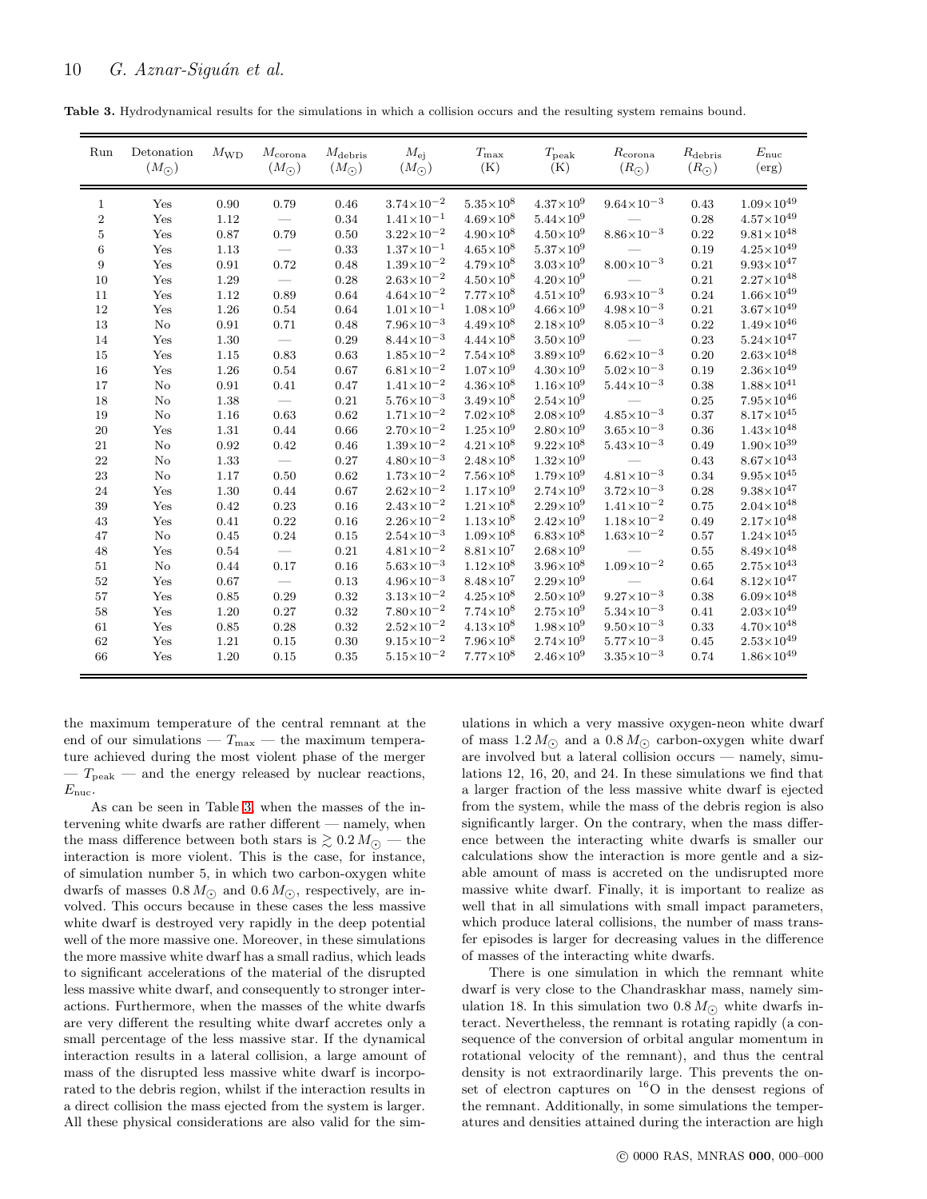Table 3. Hydrodynamical results for the simulations in which a collision occurs and the resulting system remains bound.

<span id="page-9-0"></span>

| Run          | Detonation<br>$(M_{\odot})$ | $M_{\rm WD}$ | $M_{\rm corona}$<br>$(M_{\odot})$ | $M_{\rm debris}$<br>$(M_{\odot})$ | $M_{\rm ei}$<br>$(M_{\bigodot})$ | $T_{\rm max}$<br>(K) | $T_{\rm peak}$<br>(K) | $R_{\rm corona}$<br>$(R_{\odot})$ | $R_{\text{debris}}$<br>$(R_{\odot})$ | $E_{\rm nuc}$<br>(erg) |
|--------------|-----------------------------|--------------|-----------------------------------|-----------------------------------|----------------------------------|----------------------|-----------------------|-----------------------------------|--------------------------------------|------------------------|
| $\mathbf{1}$ | Yes                         | 0.90         | 0.79                              | 0.46                              | $3.74 \times 10^{-2}$            | $5.35\times10^{8}$   | $4.37\times10^{9}$    | $9.64 \times 10^{-3}$             | 0.43                                 | $1.09{\times}10^{49}$  |
| $\,2$        | Yes                         | 1.12         |                                   | 0.34                              | $1.41\times10^{-1}$              | $4.69\times10^{8}$   | $5.44\times10^{9}$    |                                   | 0.28                                 | $4.57\times10^{49}$    |
| $\bf 5$      | Yes                         | 0.87         | 0.79                              | 0.50                              | $3.22 \times 10^{-2}$            | $4.90\times10^{8}$   | $4.50\times10^{9}$    | $8.86 \times 10^{-3}$             | 0.22                                 | $9.81 \times 10^{48}$  |
| $\,6$        | Yes                         | 1.13         |                                   | 0.33                              | $1.37\times10^{-1}$              | $4.65\times10^{8}$   | $5.37\times10^{9}$    |                                   | 0.19                                 | $4.25{\times}10^{49}$  |
| 9            | Yes                         | 0.91         | 0.72                              | 0.48                              | $1.39\times10^{-2}$              | $4.79\times10^{8}$   | $3.03\times10^{9}$    | $8.00{\times}10^{-3}$             | 0.21                                 | $9.93\times10^{47}$    |
| 10           | Yes                         | 1.29         | $\overline{\phantom{m}}$          | 0.28                              | $2.63 \times 10^{-2}$            | $4.50{\times}10^8$   | $4.20\times10^{9}$    |                                   | 0.21                                 | $2.27{\times}10^{48}$  |
| 11           | Yes                         | 1.12         | 0.89                              | 0.64                              | $4.64 \times 10^{-2}$            | $7.77\times10^{8}$   | $4.51{\times}10^9$    | $6.93\times10^{-3}$               | 0.24                                 | $1.66\times10^{49}$    |
| 12           | Yes                         | 1.26         | 0.54                              | 0.64                              | $1.01 \times 10^{-1}$            | $1.08\times10^{9}$   | $4.66\times10^{9}$    | $4.98 \times 10^{-3}$             | 0.21                                 | $3.67{\times}10^{49}$  |
| 13           | $\rm No$                    | 0.91         | 0.71                              | 0.48                              | $7.96\times10^{-3}$              | $4.49\times10^{8}$   | $2.18\times10^{9}$    | $8.05 \times 10^{-3}$             | 0.22                                 | $1.49\times10^{46}$    |
| 14           | Yes                         | 1.30         |                                   | 0.29                              | $8.44\times10^{-3}$              | $4.44\times10^{8}$   | $3.50\times10^{9}$    |                                   | 0.23                                 | $5.24{\times}10^{47}$  |
| 15           | Yes                         | 1.15         | 0.83                              | 0.63                              | $1.85 \times 10^{-2}$            | $7.54\times10^{8}$   | $3.89\times10^{9}$    | $6.62\times10^{-3}$               | 0.20                                 | $2.63\times10^{48}$    |
| 16           | Yes                         | 1.26         | 0.54                              | 0.67                              | $6.81\times10^{-2}$              | $1.07\times10^{9}$   | $4.30\times10^{9}$    | $5.02\times10^{-3}$               | 0.19                                 | $2.36\times10^{49}$    |
| 17           | $\rm No$                    | 0.91         | 0.41                              | 0.47                              | $1.41 \times 10^{-2}$            | $4.36\times10^{8}$   | $1.16\times10^{9}$    | $5.44 \times 10^{-3}$             | 0.38                                 | $1.88{\times}10^{41}$  |
| 18           | $\rm No$                    | 1.38         |                                   | 0.21                              | $5.76 \times 10^{-3}$            | $3.49\times10^{8}$   | $2.54\times10^{9}$    |                                   | 0.25                                 | $7.95\times10^{46}$    |
| 19           | $\rm No$                    | 1.16         | 0.63                              | 0.62                              | $1.71 \times 10^{-2}$            | $7.02\times10^{8}$   | $2.08\times10^{9}$    | $4.85 \times 10^{-3}$             | 0.37                                 | $8.17\times10^{45}$    |
| 20           | Yes                         | 1.31         | 0.44                              | 0.66                              | $2.70\times10^{-2}$              | $1.25\times10^{9}$   | $2.80\times10^{9}$    | $3.65 \times 10^{-3}$             | 0.36                                 | $1.43\times10^{48}$    |
| 21           | $\rm No$                    | 0.92         | 0.42                              | 0.46                              | $1.39\times10^{-2}$              | $4.21 \times 10^{8}$ | $9.22\!\times\!10^8$  | $5.43 \times 10^{-3}$             | 0.49                                 | $1.90\times10^{39}$    |
| 22           | $\rm No$                    | 1.33         |                                   | 0.27                              | $4.80\times10^{-3}$              | $2.48\times10^{8}$   | $1.32\times10^{9}$    |                                   | 0.43                                 | $8.67\times10^{43}$    |
| 23           | No                          | 1.17         | 0.50                              | 0.62                              | $1.73{\times}10^{-2}$            | $7.56\times10^{8}$   | $1.79\times10^{9}$    | $4.81 \times 10^{-3}$             | $0.34\,$                             | $9.95{\times}10^{45}$  |
| 24           | Yes                         | 1.30         | 0.44                              | 0.67                              | $2.62{\times}10^{-2}$            | $1.17\times10^{9}$   | $2.74\times10^{9}$    | $3.72 \times 10^{-3}$             | 0.28                                 | $9.38 \times 10^{47}$  |
| 39           | Yes                         | 0.42         | 0.23                              | 0.16                              | $2.43\times10^{-2}$              | $1.21 \times 10^{8}$ | $2.29\times10^{9}$    | $1.41\times10^{-2}$               | 0.75                                 | $2.04\times10^{48}$    |
| 43           | Yes                         | 0.41         | 0.22                              | 0.16                              | $2.26 \times 10^{-2}$            | $1.13\times10^{8}$   | $2.42\times10^{9}$    | $1.18\times10^{-2}$               | 0.49                                 | $2.17\times10^{48}$    |
| 47           | No                          | 0.45         | 0.24                              | 0.15                              | $2.54\times10^{-3}$              | $1.09\times10^{8}$   | $6.83\times10^{8}$    | $1.63\times10^{-2}$               | 0.57                                 | $1.24{\times}10^{45}$  |
| 48           | Yes                         | 0.54         |                                   | 0.21                              | $4.81 \times 10^{-2}$            | $8.81\times10^{7}$   | $2.68\times10^{9}$    |                                   | 0.55                                 | $8.49{\times}10^{48}$  |
| 51           | No                          | 0.44         | 0.17                              | 0.16                              | $5.63\times10^{-3}$              | $1.12\times10^{8}$   | $3.96\times10^{8}$    | $1.09{\times}10^{-2}$             | 0.65                                 | $2.75\times10^{43}$    |
| 52           | Yes                         | 0.67         |                                   | 0.13                              | $4.96 \times 10^{-3}$            | $8.48\times10^{7}$   | $2.29\times10^{9}$    |                                   | 0.64                                 | $8.12\times10^{47}$    |
| 57           | Yes                         | 0.85         | 0.29                              | 0.32                              | $3.13 \times 10^{-2}$            | $4.25 \times 10^8$   | $2.50\times10^{9}$    | $9.27{\times}10^{-3}$             | 0.38                                 | $6.09\times10^{48}$    |
| 58           | Yes                         | 1.20         | 0.27                              | 0.32                              | $7.80{\times}10^{-2}$            | $7.74\times10^{8}$   | $2.75{\times}10^9$    | $5.34 \times 10^{-3}$             | 0.41                                 | $2.03{\times}10^{49}$  |
| 61           | Yes                         | 0.85         | 0.28                              | 0.32                              | $2.52\times10^{-2}$              | $4.13{\times}10^8$   | $1.98{\times}10^9$    | $9.50\times10^{-3}$               | 0.33                                 | $4.70{\times}10^{48}$  |
| 62           | Yes                         | 1.21         | 0.15                              | 0.30                              | $9.15 \times 10^{-2}$            | $7.96{\times}10^8$   | $2.74\times10^{9}$    | $5.77 \times 10^{-3}$             | 0.45                                 | $2.53\times10^{49}$    |
| 66           | Yes                         | 1.20         | 0.15                              | 0.35                              | $5.15 \times 10^{-2}$            | $7.77\times10^{8}$   | $2.46\!\times\!10^9$  | $3.35{\times}10^{-3}$             | 0.74                                 | $1.86\times10^{49}$    |

the maximum temperature of the central remnant at the end of our simulations —  $T_{\text{max}}$  — the maximum temperature achieved during the most violent phase of the merger  $-T_{\text{peak}}$  — and the energy released by nuclear reactions,  $E_{\text{nuc}}$ .

As can be seen in Table [3,](#page-9-0) when the masses of the intervening white dwarfs are rather different — namely, when the mass difference between both stars is  $\gtrsim 0.2 M_{\odot}$  — the interaction is more violent. This is the case, for instance, of simulation number 5, in which two carbon-oxygen white dwarfs of masses  $0.8 M_{\odot}$  and  $0.6 M_{\odot}$ , respectively, are involved. This occurs because in these cases the less massive white dwarf is destroyed very rapidly in the deep potential well of the more massive one. Moreover, in these simulations the more massive white dwarf has a small radius, which leads to significant accelerations of the material of the disrupted less massive white dwarf, and consequently to stronger interactions. Furthermore, when the masses of the white dwarfs are very different the resulting white dwarf accretes only a small percentage of the less massive star. If the dynamical interaction results in a lateral collision, a large amount of mass of the disrupted less massive white dwarf is incorporated to the debris region, whilst if the interaction results in a direct collision the mass ejected from the system is larger. All these physical considerations are also valid for the sim-

ulations in which a very massive oxygen-neon white dwarf of mass  $1.2 M_{\odot}$  and a  $0.8 M_{\odot}$  carbon-oxygen white dwarf are involved but a lateral collision occurs — namely, simulations 12, 16, 20, and 24. In these simulations we find that a larger fraction of the less massive white dwarf is ejected from the system, while the mass of the debris region is also significantly larger. On the contrary, when the mass difference between the interacting white dwarfs is smaller our calculations show the interaction is more gentle and a sizable amount of mass is accreted on the undisrupted more massive white dwarf. Finally, it is important to realize as well that in all simulations with small impact parameters, which produce lateral collisions, the number of mass transfer episodes is larger for decreasing values in the difference of masses of the interacting white dwarfs.

There is one simulation in which the remnant white dwarf is very close to the Chandraskhar mass, namely simulation 18. In this simulation two  $0.8 M_{\odot}$  white dwarfs interact. Nevertheless, the remnant is rotating rapidly (a consequence of the conversion of orbital angular momentum in rotational velocity of the remnant), and thus the central density is not extraordinarily large. This prevents the onset of electron captures on  $^{16}O$  in the densest regions of the remnant. Additionally, in some simulations the temperatures and densities attained during the interaction are high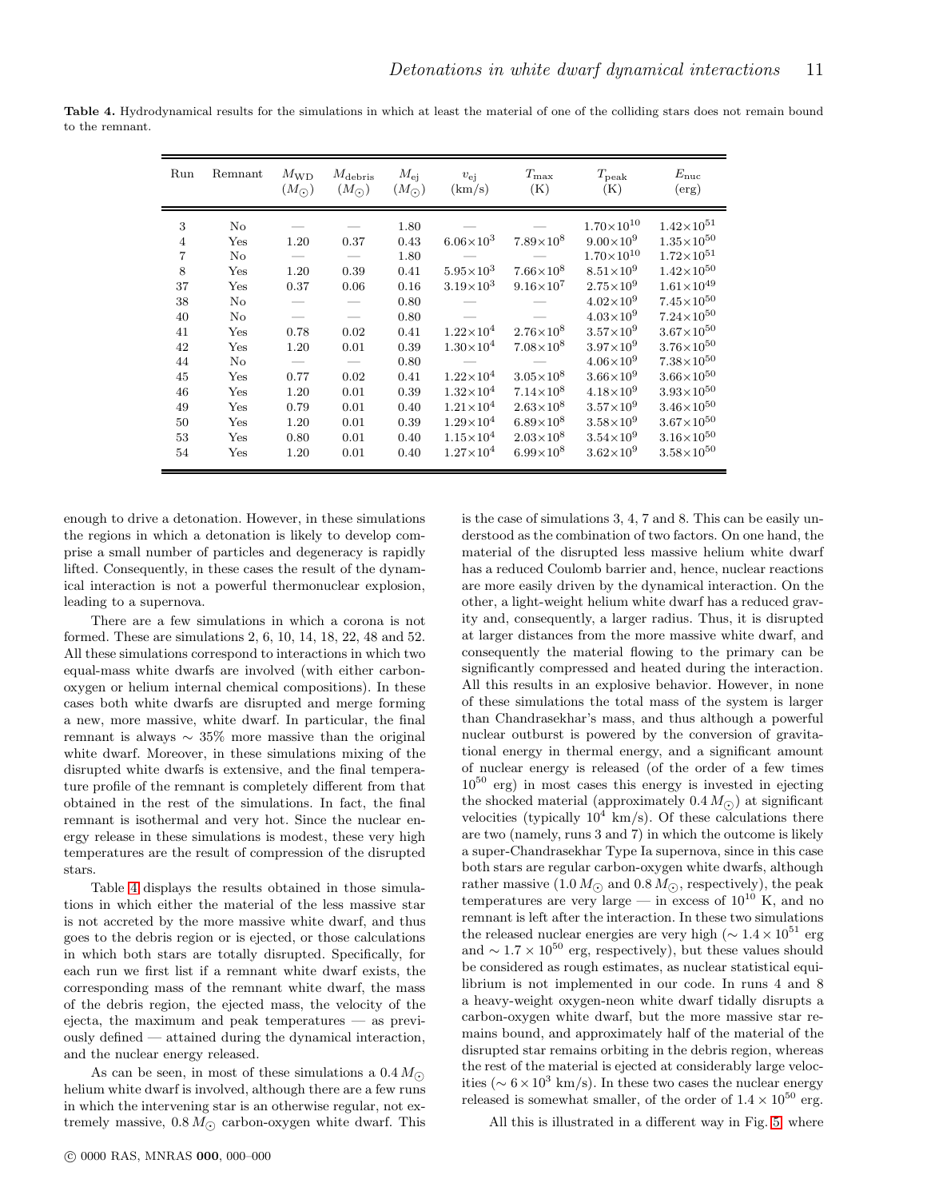<span id="page-10-0"></span>

| Run                                                                                                                | Remnant                                                                                                        | $M_{\rm WD}$<br>$(M_{\odot})$                                                        | $M_{\rm debris}$<br>$(M_{\odot})$                                                                                | $M_{\rm ei}$<br>$(M_{\odot})$                                                                                                | $v_{\rm ei}$<br>(km/s)                                                                                                                                                                                                                           | $T_{\rm max}$<br>(K)                                                                                                                                                                                                                           | $T_{\rm peak}$<br>(K)                                                                                                                                                                                                                                                                                                                                          | $E_{\rm nuc}$<br>(erg)                                                                                                                                                                                                                                                                                                                                                             |
|--------------------------------------------------------------------------------------------------------------------|----------------------------------------------------------------------------------------------------------------|--------------------------------------------------------------------------------------|------------------------------------------------------------------------------------------------------------------|------------------------------------------------------------------------------------------------------------------------------|--------------------------------------------------------------------------------------------------------------------------------------------------------------------------------------------------------------------------------------------------|------------------------------------------------------------------------------------------------------------------------------------------------------------------------------------------------------------------------------------------------|----------------------------------------------------------------------------------------------------------------------------------------------------------------------------------------------------------------------------------------------------------------------------------------------------------------------------------------------------------------|------------------------------------------------------------------------------------------------------------------------------------------------------------------------------------------------------------------------------------------------------------------------------------------------------------------------------------------------------------------------------------|
| 3<br>$\overline{4}$<br>$\overline{7}$<br>8<br>37<br>38<br>40<br>41<br>42<br>44<br>45<br>46<br>49<br>50<br>53<br>54 | No<br>Yes<br>No<br>Yes<br>Yes<br>No<br>No.<br>Yes<br>Yes<br>$\rm No$<br>Yes<br>Yes<br>Yes<br>Yes<br>Yes<br>Yes | 1.20<br>1.20<br>0.37<br>0.78<br>1.20<br>0.77<br>1.20<br>0.79<br>1.20<br>0.80<br>1.20 | 0.37<br>0.39<br>0.06<br>$\overline{\phantom{0}}$<br>0.02<br>0.01<br>0.02<br>0.01<br>0.01<br>0.01<br>0.01<br>0.01 | 1.80<br>0.43<br>1.80<br>0.41<br>0.16<br>0.80<br>0.80<br>0.41<br>0.39<br>0.80<br>0.41<br>0.39<br>0.40<br>0.39<br>0.40<br>0.40 | $6.06\times10^{3}$<br>$5.95 \times 10^{3}$<br>$3.19\times10^{3}$<br>$1.22\times10^{4}$<br>$1.30\times10^{4}$<br>$1.22\times10^{4}$<br>$1.32\times10^{4}$<br>$1.21\times10^{4}$<br>$1.29\times10^{4}$<br>$1.15\times10^{4}$<br>$1.27\times10^{4}$ | $7.89\times10^{8}$<br>$7.66\times10^{8}$<br>$9.16\times10^{7}$<br>$2.76\times10^{8}$<br>$7.08\times10^{8}$<br>$3.05\times10^{8}$<br>$7.14\times10^{8}$<br>$2.63\times10^{8}$<br>$6.89\times10^{8}$<br>$2.03\times10^{8}$<br>$6.99\times10^{8}$ | $1.70\times10^{10}$<br>$9.00\times10^{9}$<br>$1.70\times10^{10}$<br>$8.51\times10^{9}$<br>$2.75\times10^{9}$<br>$4.02\times10^{9}$<br>$4.03\times10^{9}$<br>$3.57\times10^{9}$<br>$3.97\times10^{9}$<br>$4.06\times10^{9}$<br>$3.66\times10^{9}$<br>$4.18\times10^{9}$<br>$3.57\times10^{9}$<br>$3.58\times10^{9}$<br>$3.54\times10^{9}$<br>$3.62\times10^{9}$ | $1.42\times10^{51}$<br>$1.35 \times 10^{50}$<br>$1.72\times10^{51}$<br>$1.42\times10^{50}$<br>$1.61\times10^{49}$<br>$7.45\times10^{50}$<br>$7.24\times10^{50}$<br>$3.67{\times}10^{50}$<br>$3.76 \times 10^{50}$<br>$7.38\times10^{50}$<br>$3.66\times10^{50}$<br>$3.93\times10^{50}$<br>$3.46\times10^{50}$<br>$3.67\times10^{50}$<br>$3.16\times10^{50}$<br>$3.58\times10^{50}$ |

Table 4. Hydrodynamical results for the simulations in which at least the material of one of the colliding stars does not remain bound to the remnant.

enough to drive a detonation. However, in these simulations the regions in which a detonation is likely to develop comprise a small number of particles and degeneracy is rapidly lifted. Consequently, in these cases the result of the dynamical interaction is not a powerful thermonuclear explosion, leading to a supernova.

There are a few simulations in which a corona is not formed. These are simulations 2, 6, 10, 14, 18, 22, 48 and 52. All these simulations correspond to interactions in which two equal-mass white dwarfs are involved (with either carbonoxygen or helium internal chemical compositions). In these cases both white dwarfs are disrupted and merge forming a new, more massive, white dwarf. In particular, the final remnant is always ∼ 35% more massive than the original white dwarf. Moreover, in these simulations mixing of the disrupted white dwarfs is extensive, and the final temperature profile of the remnant is completely different from that obtained in the rest of the simulations. In fact, the final remnant is isothermal and very hot. Since the nuclear energy release in these simulations is modest, these very high temperatures are the result of compression of the disrupted stars.

Table [4](#page-10-0) displays the results obtained in those simulations in which either the material of the less massive star is not accreted by the more massive white dwarf, and thus goes to the debris region or is ejected, or those calculations in which both stars are totally disrupted. Specifically, for each run we first list if a remnant white dwarf exists, the corresponding mass of the remnant white dwarf, the mass of the debris region, the ejected mass, the velocity of the ejecta, the maximum and peak temperatures — as previously defined — attained during the dynamical interaction, and the nuclear energy released.

As can be seen, in most of these simulations a  $0.4 M_{\odot}$ helium white dwarf is involved, although there are a few runs in which the intervening star is an otherwise regular, not extremely massive,  $0.8 M_{\odot}$  carbon-oxygen white dwarf. This is the case of simulations 3, 4, 7 and 8. This can be easily understood as the combination of two factors. On one hand, the material of the disrupted less massive helium white dwarf has a reduced Coulomb barrier and, hence, nuclear reactions are more easily driven by the dynamical interaction. On the other, a light-weight helium white dwarf has a reduced gravity and, consequently, a larger radius. Thus, it is disrupted at larger distances from the more massive white dwarf, and consequently the material flowing to the primary can be significantly compressed and heated during the interaction. All this results in an explosive behavior. However, in none of these simulations the total mass of the system is larger than Chandrasekhar's mass, and thus although a powerful nuclear outburst is powered by the conversion of gravitational energy in thermal energy, and a significant amount of nuclear energy is released (of the order of a few times  $10^{50}$  erg) in most cases this energy is invested in ejecting the shocked material (approximately  $0.4 M_{\odot}$ ) at significant velocities (typically  $10^4$  km/s). Of these calculations there are two (namely, runs 3 and 7) in which the outcome is likely a super-Chandrasekhar Type Ia supernova, since in this case both stars are regular carbon-oxygen white dwarfs, although rather massive  $(1.0 M_{\odot})$  and  $0.8 M_{\odot}$ , respectively), the peak temperatures are very large — in excess of  $10^{10}$  K, and no remnant is left after the interaction. In these two simulations the released nuclear energies are very high ( $\sim 1.4 \times 10^{51}$  erg and  $\sim 1.7 \times 10^{50}$  erg, respectively), but these values should be considered as rough estimates, as nuclear statistical equilibrium is not implemented in our code. In runs 4 and 8 a heavy-weight oxygen-neon white dwarf tidally disrupts a carbon-oxygen white dwarf, but the more massive star remains bound, and approximately half of the material of the disrupted star remains orbiting in the debris region, whereas the rest of the material is ejected at considerably large velocities ( $\sim 6 \times 10^3$  km/s). In these two cases the nuclear energy released is somewhat smaller, of the order of  $1.4 \times 10^{50}$  erg.

All this is illustrated in a different way in Fig. [5,](#page-11-0) where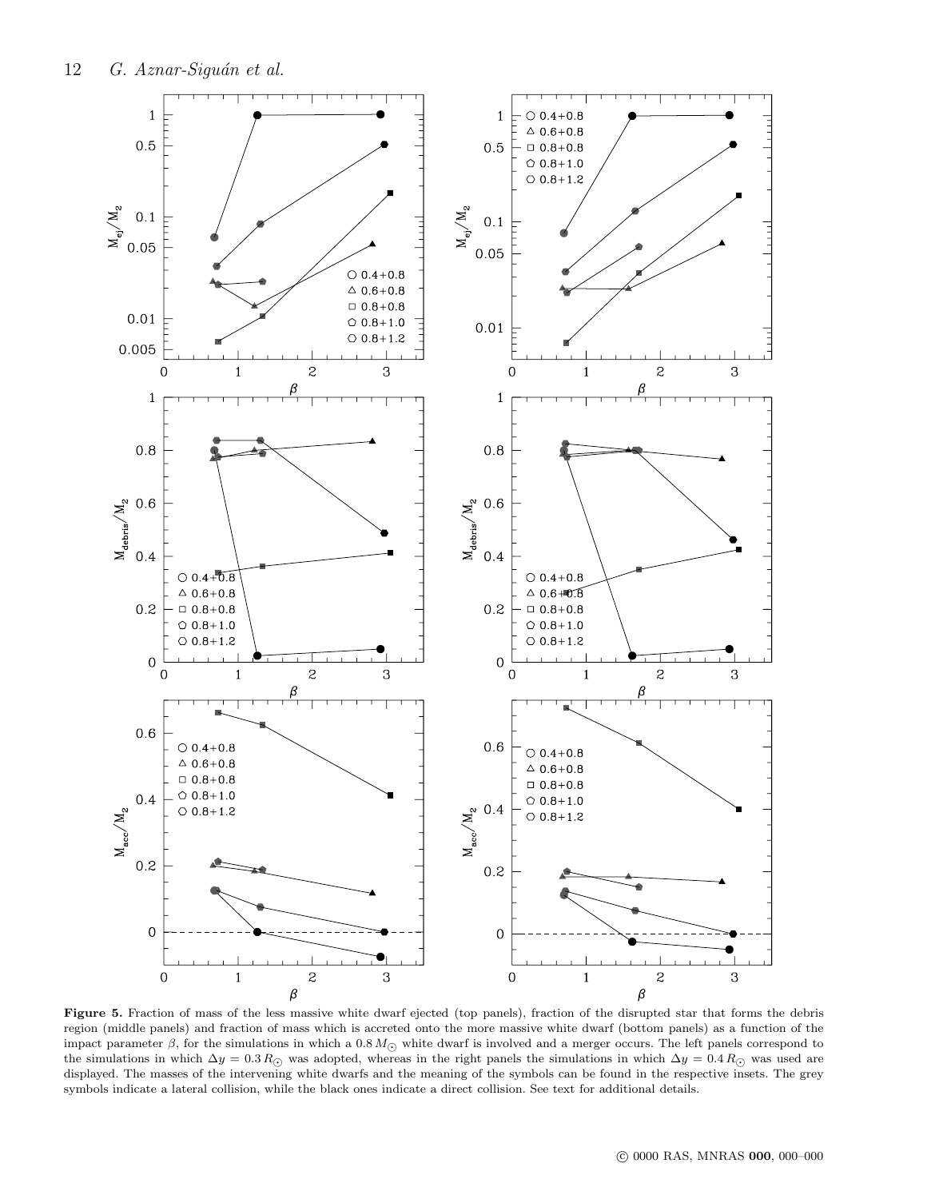

<span id="page-11-0"></span>Figure 5. Fraction of mass of the less massive white dwarf ejected (top panels), fraction of the disrupted star that forms the debris region (middle panels) and fraction of mass which is accreted onto the more massive white dwarf (bottom panels) as a function of the impact parameter  $\beta$ , for the simulations in which a 0.8  $M_{\odot}$  white dwarf is involved and a merger occurs. The left panels correspond to the simulations in which  $\Delta y = 0.3 R_{\odot}$  was adopted, whereas in the right panels the simulations in which  $\Delta y = 0.4 R_{\odot}$  was used are displayed. The masses of the intervening white dwarfs and the meaning of the symbols can be found in the respective insets. The grey symbols indicate a lateral collision, while the black ones indicate a direct collision. See text for additional details.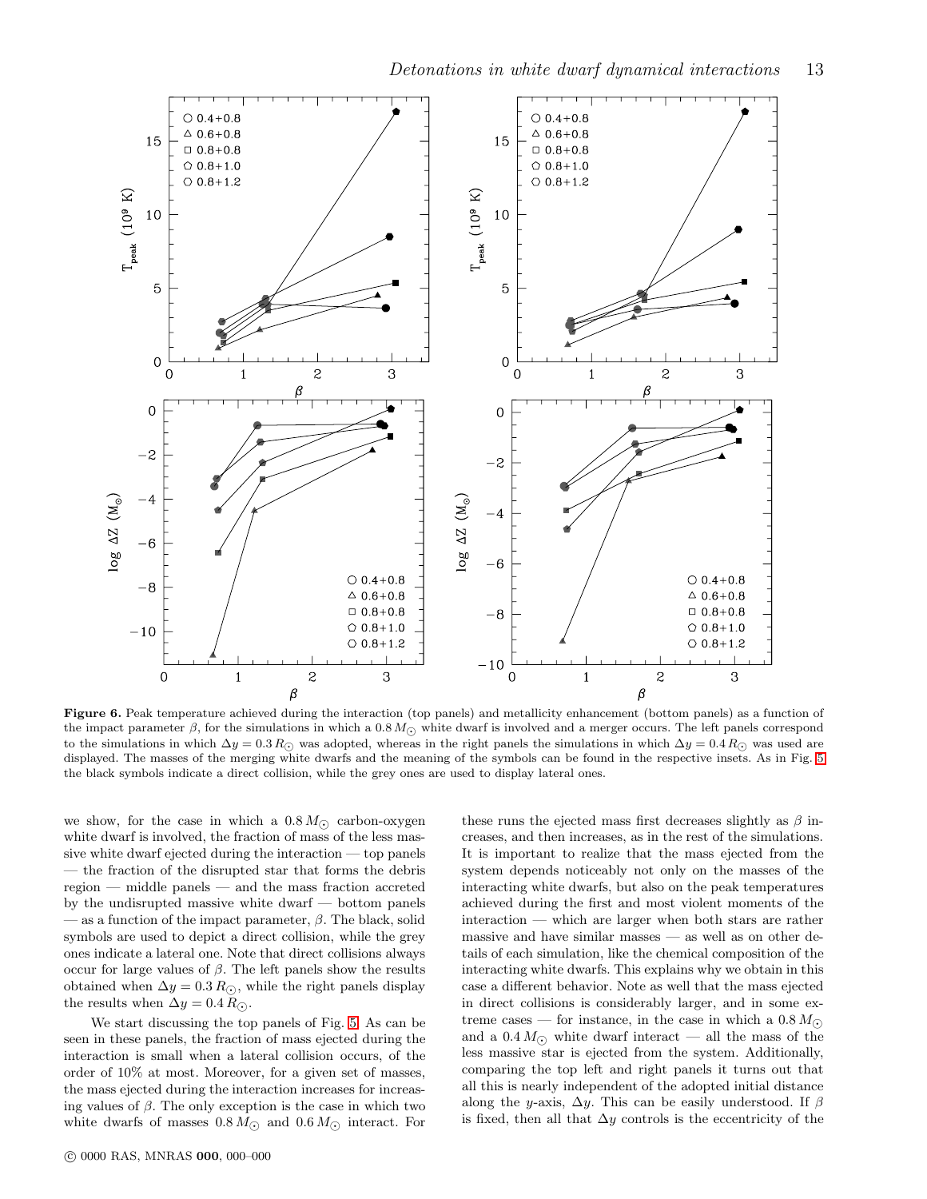

<span id="page-12-0"></span>Figure 6. Peak temperature achieved during the interaction (top panels) and metallicity enhancement (bottom panels) as a function of the impact parameter  $\beta$ , for the simulations in which a 0.8  $M_{\odot}$  white dwarf is involved and a merger occurs. The left panels correspond to the simulations in which  $\Delta y = 0.3 R_{\odot}$  was adopted, whereas in the right panels the simulations in which  $\Delta y = 0.4 R_{\odot}$  was used are displayed. The masses of the merging white dwarfs and the meaning of the symbols can be found in the respective insets. As in Fig. [5](#page-11-0) the black symbols indicate a direct collision, while the grey ones are used to display lateral ones.

we show, for the case in which a  $0.8 M_{\odot}$  carbon-oxygen white dwarf is involved, the fraction of mass of the less massive white dwarf ejected during the interaction — top panels — the fraction of the disrupted star that forms the debris region — middle panels — and the mass fraction accreted by the undisrupted massive white dwarf — bottom panels — as a function of the impact parameter,  $\beta$ . The black, solid symbols are used to depict a direct collision, while the grey ones indicate a lateral one. Note that direct collisions always occur for large values of β. The left panels show the results obtained when  $\Delta y = 0.3 R_{\odot}$ , while the right panels display the results when  $\Delta y = 0.4 R_{\odot}$ .

We start discussing the top panels of Fig. [5.](#page-11-0) As can be seen in these panels, the fraction of mass ejected during the interaction is small when a lateral collision occurs, of the order of 10% at most. Moreover, for a given set of masses, the mass ejected during the interaction increases for increasing values of  $\beta$ . The only exception is the case in which two white dwarfs of masses  $0.8 M_{\odot}$  and  $0.6 M_{\odot}$  interact. For

these runs the ejected mass first decreases slightly as  $\beta$  increases, and then increases, as in the rest of the simulations. It is important to realize that the mass ejected from the system depends noticeably not only on the masses of the interacting white dwarfs, but also on the peak temperatures achieved during the first and most violent moments of the interaction — which are larger when both stars are rather massive and have similar masses — as well as on other details of each simulation, like the chemical composition of the interacting white dwarfs. This explains why we obtain in this case a different behavior. Note as well that the mass ejected in direct collisions is considerably larger, and in some extreme cases — for instance, in the case in which a  $0.8 M_{\odot}$ and a  $0.4 M_{\odot}$  white dwarf interact — all the mass of the less massive star is ejected from the system. Additionally, comparing the top left and right panels it turns out that all this is nearly independent of the adopted initial distance along the y-axis,  $\Delta y$ . This can be easily understood. If  $\beta$ is fixed, then all that  $\Delta y$  controls is the eccentricity of the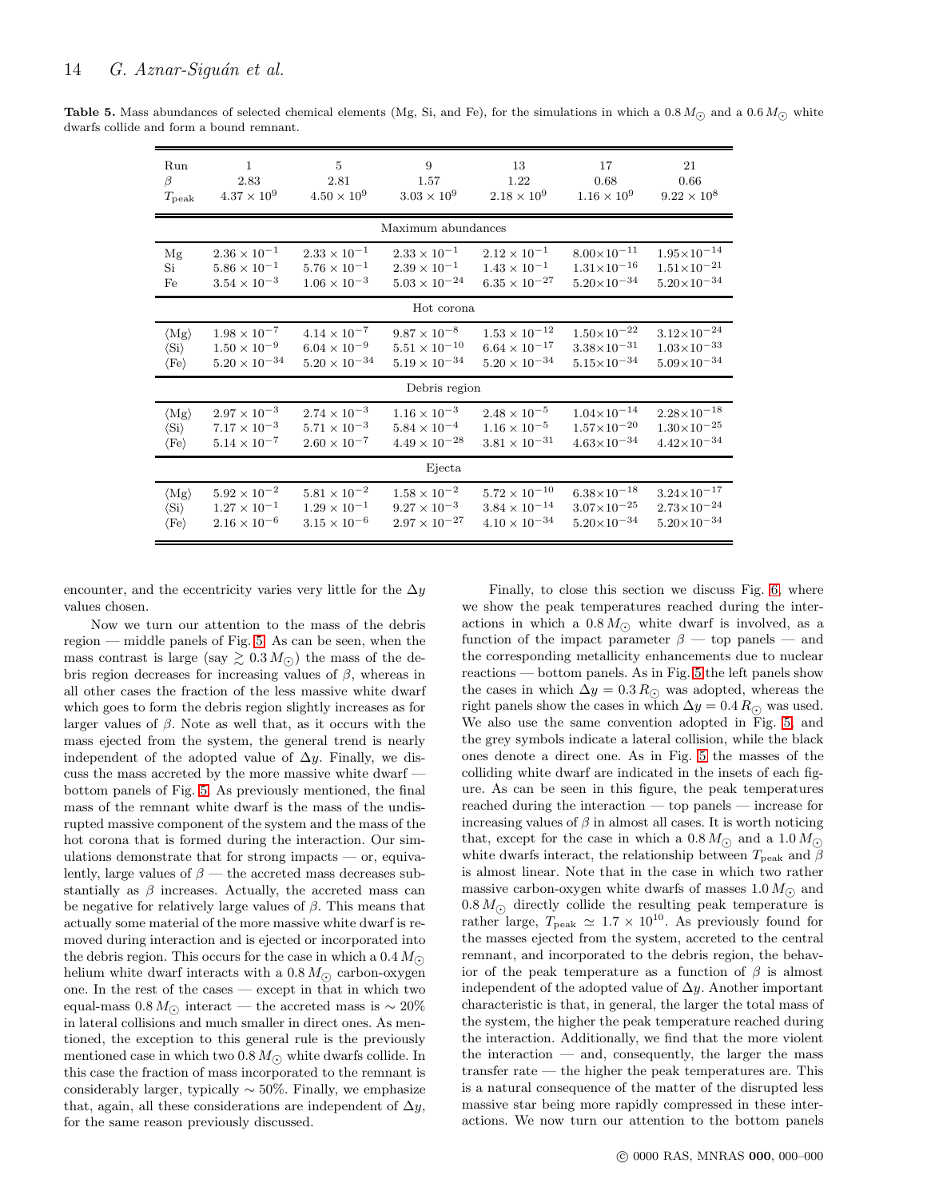<span id="page-13-0"></span>ś

| <b>Table 5.</b> Mass abundances of selected chemical elements (Mg, Si, and Fe), for the simulations in which a 0.8 $M_{\odot}$ and a 0.6 $M_{\odot}$ white |  |  |
|------------------------------------------------------------------------------------------------------------------------------------------------------------|--|--|
| dwarfs collide and form a bound remnant.                                                                                                                   |  |  |

| Run                           | $\overline{1}$         | 5                      | 9                      | 13                     | 17                     | 21                     |
|-------------------------------|------------------------|------------------------|------------------------|------------------------|------------------------|------------------------|
| β                             | 2.83                   | 2.81                   | 1.57                   | 1.22                   | 0.68                   | 0.66                   |
| $T_{\rm peak}$                | $4.37 \times 10^{9}$   | $4.50 \times 10^{9}$   | $3.03 \times 10^{9}$   | $2.18\times10^9$       | $1.16 \times 10^{9}$   | $9.22 \times 10^8$     |
|                               |                        |                        | Maximum abundances     |                        |                        |                        |
| Mg                            | $2.36 \times 10^{-1}$  | $2.33 \times 10^{-1}$  | $2.33 \times 10^{-1}$  | $2.12 \times 10^{-1}$  | $8.00\times10^{-11}$   | $1.95{\times}10^{-14}$ |
| Si                            | $5.86 \times 10^{-1}$  | $5.76 \times 10^{-1}$  | $2.39 \times 10^{-1}$  | $1.43 \times 10^{-1}$  | $1.31 \times 10^{-16}$ | $1.51 \times 10^{-21}$ |
| Fe                            | $3.54 \times 10^{-3}$  | $1.06\times10^{-3}$    | $5.03 \times 10^{-24}$ | $6.35 \times 10^{-27}$ | $5.20\times10^{-34}$   | $5.20\times10^{-34}$   |
|                               |                        |                        | Hot corona             |                        |                        |                        |
| $\langle Mg \rangle$          | $1.98\times10^{-7}$    | $4.14\times10^{-7}$    | $9.87 \times 10^{-8}$  | $1.53\times10^{-12}$   | $1.50\times10^{-22}$   | $3.12\times10^{-24}$   |
| $\langle \mathrm{Si} \rangle$ | $1.50 \times 10^{-9}$  | $6.04 \times 10^{-9}$  | $5.51 \times 10^{-10}$ | $6.64 \times 10^{-17}$ | $3.38 \times 10^{-31}$ | $1.03\times10^{-33}$   |
| $\langle \text{Fe} \rangle$   | $5.20 \times 10^{-34}$ | $5.20 \times 10^{-34}$ | $5.19 \times 10^{-34}$ | $5.20 \times 10^{-34}$ | $5.15\times10^{-34}$   | $5.09 \times 10^{-34}$ |
|                               |                        |                        | Debris region          |                        |                        |                        |
| $\langle Mg \rangle$          | $2.97\times10^{-3}$    | $2.74\times10^{-3}$    | $1.16 \times 10^{-3}$  | $2.48 \times 10^{-5}$  | $1.04\times10^{-14}$   | $2.28\times10^{-18}$   |
| $\langle \mathrm{Si} \rangle$ | $7.17 \times 10^{-3}$  | $5.71\times10^{-3}$    | $5.84 \times 10^{-4}$  | $1.16 \times 10^{-5}$  | $1.57\times10^{-20}$   | $1.30\times10^{-25}$   |
| $\langle \mathrm{Fe} \rangle$ | $5.14 \times 10^{-7}$  | $2.60 \times 10^{-7}$  | $4.49\times10^{-28}$   | $3.81\times10^{-31}$   | $4.63\times10^{-34}$   | $4.42\times10^{-34}$   |
|                               |                        |                        | Ejecta                 |                        |                        |                        |
| $\langle Mg \rangle$          | $5.92\times10^{-2}$    | $5.81\times10^{-2}$    | $1.58\times10^{-2}$    | $5.72\times10^{-10}$   | $6.38\times10^{-18}$   | $3.24\times10^{-17}$   |
| $\langle \mathrm{Si} \rangle$ | $1.27 \times 10^{-1}$  | $1.29 \times 10^{-1}$  | $9.27 \times 10^{-3}$  | $3.84 \times 10^{-14}$ | $3.07\times10^{-25}$   | $2.73\times10^{-24}$   |
| $\langle \text{Fe} \rangle$   | $2.16 \times 10^{-6}$  | $3.15 \times 10^{-6}$  | $2.97 \times 10^{-27}$ | $4.10 \times 10^{-34}$ | $5.20\times10^{-34}$   | $5.20\times10^{-34}$   |

encounter, and the eccentricity varies very little for the  $\Delta y$ values chosen.

Now we turn our attention to the mass of the debris region — middle panels of Fig. [5.](#page-11-0) As can be seen, when the mass contrast is large (say  $\geq 0.3 M_{\odot}$ ) the mass of the debris region decreases for increasing values of β, whereas in all other cases the fraction of the less massive white dwarf which goes to form the debris region slightly increases as for larger values of  $\beta$ . Note as well that, as it occurs with the mass ejected from the system, the general trend is nearly independent of the adopted value of  $\Delta y$ . Finally, we discuss the mass accreted by the more massive white dwarf bottom panels of Fig. [5.](#page-11-0) As previously mentioned, the final mass of the remnant white dwarf is the mass of the undisrupted massive component of the system and the mass of the hot corona that is formed during the interaction. Our simulations demonstrate that for strong impacts — or, equivalently, large values of  $\beta$  — the accreted mass decreases substantially as  $\beta$  increases. Actually, the accreted mass can be negative for relatively large values of  $\beta$ . This means that actually some material of the more massive white dwarf is removed during interaction and is ejected or incorporated into the debris region. This occurs for the case in which a  $0.4 M_{\odot}$ helium white dwarf interacts with a  $0.8 M_{\odot}$  carbon-oxygen one. In the rest of the cases — except in that in which two equal-mass  $0.8 M_{\odot}$  interact — the accreted mass is ~ 20% in lateral collisions and much smaller in direct ones. As mentioned, the exception to this general rule is the previously mentioned case in which two 0.8  $M_{\odot}$  white dwarfs collide. In this case the fraction of mass incorporated to the remnant is considerably larger, typically  $\sim$  50%. Finally, we emphasize that, again, all these considerations are independent of  $\Delta y$ , for the same reason previously discussed.

Finally, to close this section we discuss Fig. [6,](#page-12-0) where we show the peak temperatures reached during the interactions in which a  $0.8 M_{\odot}$  white dwarf is involved, as a function of the impact parameter  $\beta$  — top panels — and the corresponding metallicity enhancements due to nuclear reactions — bottom panels. As in Fig. [5](#page-11-0) the left panels show the cases in which  $\Delta y = 0.3 R_{\odot}$  was adopted, whereas the right panels show the cases in which  $\Delta y = 0.4 R_{\odot}$  was used. We also use the same convention adopted in Fig. [5,](#page-11-0) and the grey symbols indicate a lateral collision, while the black ones denote a direct one. As in Fig. [5](#page-11-0) the masses of the colliding white dwarf are indicated in the insets of each figure. As can be seen in this figure, the peak temperatures reached during the interaction — top panels — increase for increasing values of  $\beta$  in almost all cases. It is worth noticing that, except for the case in which a  $0.8 M_{\odot}$  and a  $1.0 M_{\odot}$ white dwarfs interact, the relationship between  $T_{\text{peak}}$  and  $\beta$ is almost linear. Note that in the case in which two rather massive carbon-oxygen white dwarfs of masses 1.0  $M_{\odot}$  and  $0.8 M_{\odot}$  directly collide the resulting peak temperature is rather large,  $T_{\text{peak}} \simeq 1.7 \times 10^{10}$ . As previously found for the masses ejected from the system, accreted to the central remnant, and incorporated to the debris region, the behavior of the peak temperature as a function of  $\beta$  is almost independent of the adopted value of  $\Delta y$ . Another important characteristic is that, in general, the larger the total mass of the system, the higher the peak temperature reached during the interaction. Additionally, we find that the more violent the interaction  $-$  and, consequently, the larger the mass transfer rate — the higher the peak temperatures are. This is a natural consequence of the matter of the disrupted less massive star being more rapidly compressed in these interactions. We now turn our attention to the bottom panels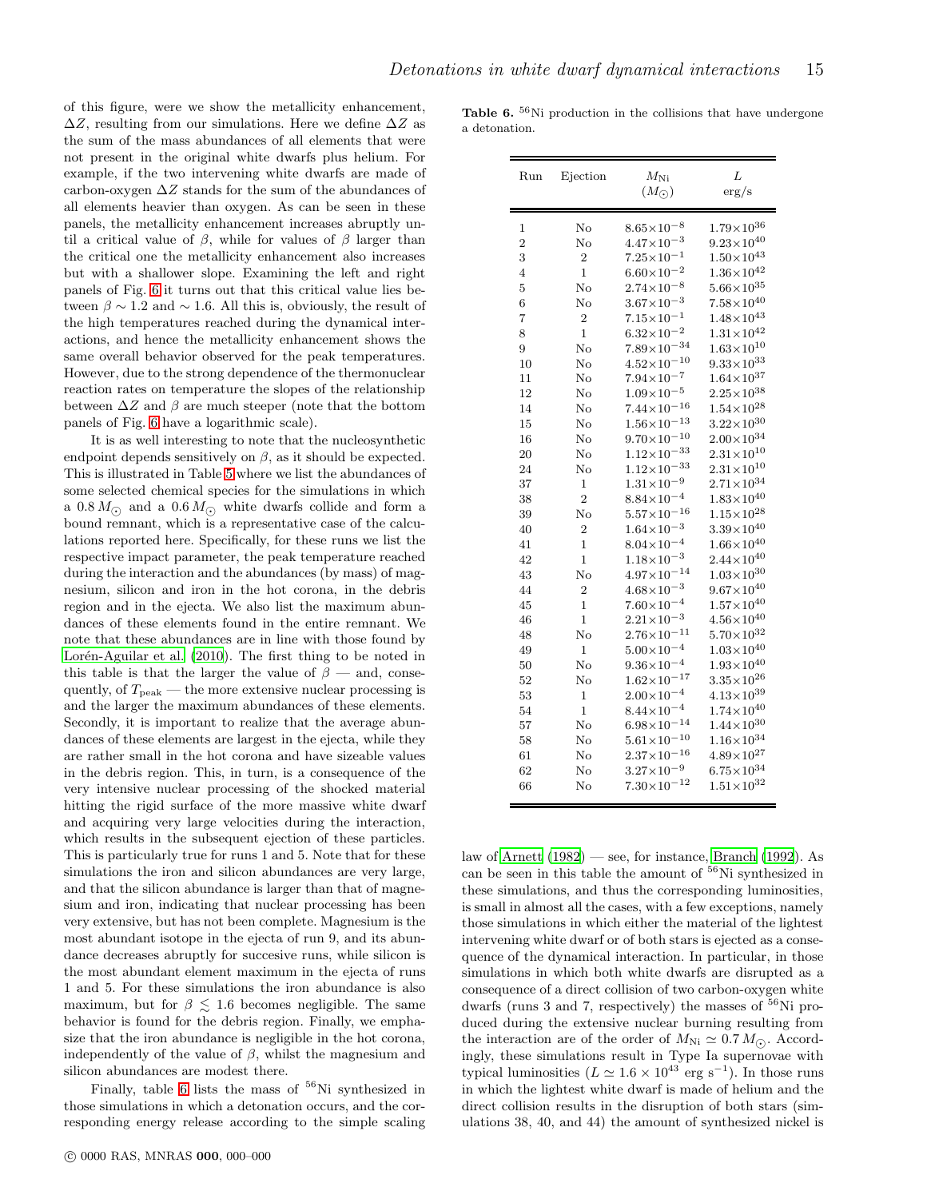of this figure, were we show the metallicity enhancement,  $\Delta Z$ , resulting from our simulations. Here we define  $\Delta Z$  as the sum of the mass abundances of all elements that were not present in the original white dwarfs plus helium. For example, if the two intervening white dwarfs are made of carbon-oxygen  $\Delta Z$  stands for the sum of the abundances of all elements heavier than oxygen. As can be seen in these panels, the metallicity enhancement increases abruptly until a critical value of  $\beta$ , while for values of  $\beta$  larger than the critical one the metallicity enhancement also increases but with a shallower slope. Examining the left and right panels of Fig. [6](#page-12-0) it turns out that this critical value lies between  $\beta \sim 1.2$  and  $\sim 1.6$ . All this is, obviously, the result of the high temperatures reached during the dynamical interactions, and hence the metallicity enhancement shows the same overall behavior observed for the peak temperatures. However, due to the strong dependence of the thermonuclear reaction rates on temperature the slopes of the relationship between  $\Delta Z$  and  $\beta$  are much steeper (note that the bottom panels of Fig. [6](#page-12-0) have a logarithmic scale).

It is as well interesting to note that the nucleosynthetic endpoint depends sensitively on  $\beta$ , as it should be expected. This is illustrated in Table [5](#page-13-0) where we list the abundances of some selected chemical species for the simulations in which a  $0.8 M_{\odot}$  and a  $0.6 M_{\odot}$  white dwarfs collide and form a bound remnant, which is a representative case of the calculations reported here. Specifically, for these runs we list the respective impact parameter, the peak temperature reached during the interaction and the abundances (by mass) of magnesium, silicon and iron in the hot corona, in the debris region and in the ejecta. We also list the maximum abundances of these elements found in the entire remnant. We note that these abundances are in line with those found by Lorén-Aguilar et al. (2010). The first thing to be noted in this table is that the larger the value of  $\beta$  — and, consequently, of  $T_{\text{peak}}$  — the more extensive nuclear processing is and the larger the maximum abundances of these elements. Secondly, it is important to realize that the average abundances of these elements are largest in the ejecta, while they are rather small in the hot corona and have sizeable values in the debris region. This, in turn, is a consequence of the very intensive nuclear processing of the shocked material hitting the rigid surface of the more massive white dwarf and acquiring very large velocities during the interaction, which results in the subsequent ejection of these particles. This is particularly true for runs 1 and 5. Note that for these simulations the iron and silicon abundances are very large, and that the silicon abundance is larger than that of magnesium and iron, indicating that nuclear processing has been very extensive, but has not been complete. Magnesium is the most abundant isotope in the ejecta of run 9, and its abundance decreases abruptly for succesive runs, while silicon is the most abundant element maximum in the ejecta of runs 1 and 5. For these simulations the iron abundance is also maximum, but for  $\beta \leq 1.6$  becomes negligible. The same behavior is found for the debris region. Finally, we emphasize that the iron abundance is negligible in the hot corona, independently of the value of  $\beta$ , whilst the magnesium and silicon abundances are modest there.

Finally, table [6](#page-14-0) lists the mass of  $56$ Ni synthesized in those simulations in which a detonation occurs, and the corresponding energy release according to the simple scaling

**Table 6.**  $56$ Ni production in the collisions that have undergone a detonation.

<span id="page-14-0"></span>

| Run            | Ejection       | $M_{\rm Ni}$<br>$(M_{\odot})$ | L<br>$\rm erg/s$      |
|----------------|----------------|-------------------------------|-----------------------|
| 1              | No             | $8.65 \times 10^{-8}$         | $1.79\times10^{36}$   |
| $\overline{2}$ | $\rm No$       | $4.47\times10^{-3}$           | $9.23\times10^{40}$   |
| 3              | $\overline{2}$ | $7.25 \times 10^{-1}$         | $1.50\times10^{43}$   |
| $\overline{4}$ | $\mathbf{1}$   | $6.60{\times}10^{-2}$         | $1.36\times10^{42}$   |
| 5              | No             | $2.74 \times 10^{-8}$         | $5.66\times10^{35}$   |
| 6              | No             | $3.67 \times 10^{-3}$         | $7.58\times10^{40}$   |
| 7              | $\overline{2}$ | $7.15 \times 10^{-1}$         | $1.48 \times 10^{43}$ |
| 8              | $\mathbf{1}$   | $6.32\times10^{-2}$           | $1.31{\times}10^{42}$ |
| 9              | $\rm No$       | $7.89\times10^{-34}$          | $1.63\times10^{10}$   |
| 10             | No             | $4.52 \times 10^{-10}$        | $9.33\times10^{33}$   |
| 11             | No             | $7.94\times10^{-7}$           | $1.64 \times 10^{37}$ |
| 12             | $\rm No$       | $1.09 \times 10^{-5}$         | $2.25 \times 10^{38}$ |
| 14             | No             | $7.44 \times 10^{-16}$        | $1.54{\times}10^{28}$ |
| 15             | No             | $1.56 \times 10^{-13}$        | $3.22 \times 10^{30}$ |
| 16             | $\rm No$       | $9.70\times10^{-10}$          | $2.00\times10^{34}$   |
| 20             | No             | $1.12 \times 10^{-33}$        | $2.31\times10^{10}$   |
| 24             | $\rm No$       | $1.12 \times 10^{-33}$        | $2.31\times10^{10}$   |
| 37             | $\mathbf{1}$   | $1.31 \times 10^{-9}$         | $2.71\times10^{34}$   |
| 38             | $\overline{2}$ | $8.84 \times 10^{-4}$         | $1.83\times10^{40}$   |
| 39             | No             | $5.57\times10^{-16}$          | $1.15{\times}10^{28}$ |
| 40             | $\overline{2}$ | $1.64 \times 10^{-3}$         | $3.39\times10^{40}$   |
| 41             | $\mathbf{1}$   | $8.04 \times 10^{-4}$         | $1.66\times10^{40}$   |
| 42             | $\mathbf{1}$   | $1.18 \times 10^{-3}$         | $2.44\times10^{40}$   |
| 43             | No             | $4.97\times10^{-14}$          | $1.03\times10^{30}$   |
| 44             | $\overline{2}$ | $4.68\times10^{-3}$           | $9.67\times10^{40}$   |
| 45             | $\mathbf 1$    | $7.60\times10^{-4}$           | $1.57\times10^{40}$   |
| 46             | $\mathbf{1}$   | $2.21 \times 10^{-3}$         | $4.56\times10^{40}$   |
| 48             | No             | $2.76 \times 10^{-11}$        | $5.70\times10^{32}$   |
| 49             | $\mathbf{1}$   | $5.00\times10^{-4}$           | $1.03\times10^{40}$   |
| 50             | No             | $9.36 \times 10^{-4}$         | $1.93{\times}10^{40}$ |
| 52             | No             | $1.62 \times 10^{-17}$        | $3.35 \times 10^{26}$ |
| 53             | $\mathbf 1$    | $2.00\times10^{-4}$           | $4.13\times10^{39}$   |
| 54             | $\mathbf{1}$   | $8.44 \times 10^{-4}$         | $1.74\times10^{40}$   |
| 57             | No             | $6.98 \times 10^{-14}$        | $1.44 \times 10^{30}$ |
| 58             | $\rm No$       | $5.61 \times 10^{-10}$        | $1.16{\times}10^{34}$ |
| 61             | No             | $2.37\times10^{-16}$          | $4.89\times10^{27}$   |
| 62             | $\rm No$       | $3.27 \times 10^{-9}$         | $6.75\times10^{34}$   |
| 66             | No             | $7.30\times10^{-12}$          | $1.51{\times}10^{32}$ |

law of [Arnett \(1982](#page-17-39)) — see, for instance, [Branch \(1992\)](#page-17-40). As can be seen in this table the amount of  $56$ Ni synthesized in these simulations, and thus the corresponding luminosities, is small in almost all the cases, with a few exceptions, namely those simulations in which either the material of the lightest intervening white dwarf or of both stars is ejected as a consequence of the dynamical interaction. In particular, in those simulations in which both white dwarfs are disrupted as a consequence of a direct collision of two carbon-oxygen white dwarfs (runs 3 and 7, respectively) the masses of  $^{56}\text{Ni}$  produced during the extensive nuclear burning resulting from the interaction are of the order of  $M_{\text{Ni}} \simeq 0.7 M_{\odot}$ . Accordingly, these simulations result in Type Ia supernovae with typical luminosities  $(L \simeq 1.6 \times 10^{43} \text{ erg s}^{-1})$ . In those runs in which the lightest white dwarf is made of helium and the direct collision results in the disruption of both stars (simulations 38, 40, and 44) the amount of synthesized nickel is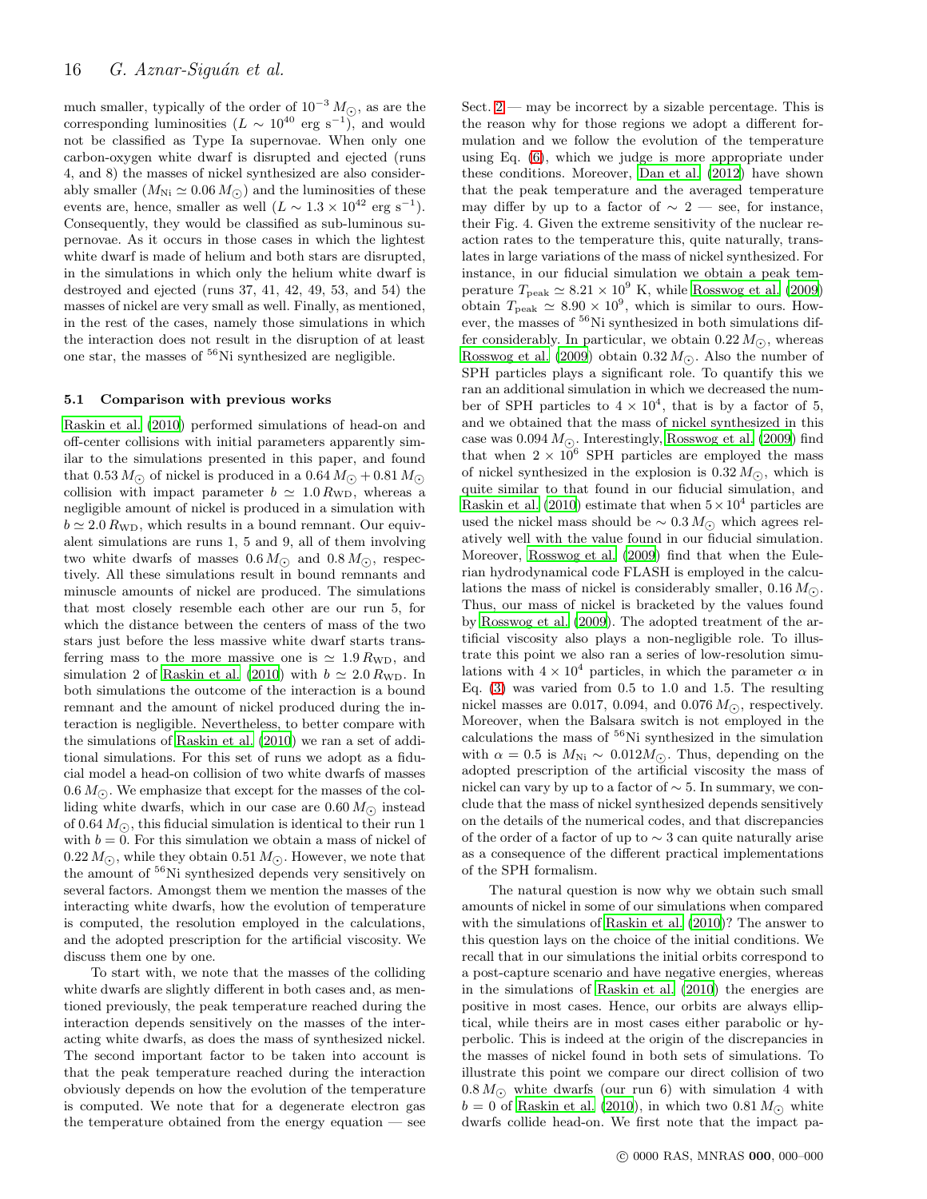much smaller, typically of the order of  $10^{-3} M_{\odot}$ , as are the corresponding luminosities  $(L \sim 10^{40} \text{ erg s}^{-1})$ , and would not be classified as Type Ia supernovae. When only one carbon-oxygen white dwarf is disrupted and ejected (runs 4, and 8) the masses of nickel synthesized are also considerably smaller  $(M_{\text{Ni}} \simeq 0.06 M_{\odot})$  and the luminosities of these events are, hence, smaller as well  $(L \sim 1.3 \times 10^{42} \text{ erg s}^{-1}).$ Consequently, they would be classified as sub-luminous supernovae. As it occurs in those cases in which the lightest white dwarf is made of helium and both stars are disrupted, in the simulations in which only the helium white dwarf is destroyed and ejected (runs 37, 41, 42, 49, 53, and 54) the masses of nickel are very small as well. Finally, as mentioned, in the rest of the cases, namely those simulations in which the interaction does not result in the disruption of at least one star, the masses of  ${}^{56}$ Ni synthesized are negligible.

#### 5.1 Comparison with previous works

[Raskin et al. \(2010\)](#page-17-6) performed simulations of head-on and off-center collisions with initial parameters apparently similar to the simulations presented in this paper, and found that 0.53  $M_{\odot}$  of nickel is produced in a 0.64  $M_{\odot}$  + 0.81  $M_{\odot}$ collision with impact parameter  $b \approx 1.0 R_{\text{WD}}$ , whereas a negligible amount of nickel is produced in a simulation with  $b \simeq 2.0 R_{\text{WD}}$ , which results in a bound remnant. Our equivalent simulations are runs 1, 5 and 9, all of them involving two white dwarfs of masses  $0.6 M_{\odot}$  and  $0.8 M_{\odot}$ , respectively. All these simulations result in bound remnants and minuscle amounts of nickel are produced. The simulations that most closely resemble each other are our run 5, for which the distance between the centers of mass of the two stars just before the less massive white dwarf starts transferring mass to the more massive one is  $\simeq 1.9 R_{\text{WD}}$ , and simulation 2 of [Raskin et al. \(2010](#page-17-6)) with  $b \simeq 2.0 R_{\text{WD}}$ . In both simulations the outcome of the interaction is a bound remnant and the amount of nickel produced during the interaction is negligible. Nevertheless, to better compare with the simulations of [Raskin et al. \(2010](#page-17-6)) we ran a set of additional simulations. For this set of runs we adopt as a fiducial model a head-on collision of two white dwarfs of masses 0.6  $M_{\odot}$ . We emphasize that except for the masses of the colliding white dwarfs, which in our case are  $0.60 M_{\odot}$  instead of 0.64  $M_{\odot}$ , this fiducial simulation is identical to their run 1 with  $b = 0$ . For this simulation we obtain a mass of nickel of 0.22  $M_{\odot}$ , while they obtain 0.51  $M_{\odot}$ . However, we note that the amount of <sup>56</sup>Ni synthesized depends very sensitively on several factors. Amongst them we mention the masses of the interacting white dwarfs, how the evolution of temperature is computed, the resolution employed in the calculations, and the adopted prescription for the artificial viscosity. We discuss them one by one.

To start with, we note that the masses of the colliding white dwarfs are slightly different in both cases and, as mentioned previously, the peak temperature reached during the interaction depends sensitively on the masses of the interacting white dwarfs, as does the mass of synthesized nickel. The second important factor to be taken into account is that the peak temperature reached during the interaction obviously depends on how the evolution of the temperature is computed. We note that for a degenerate electron gas the temperature obtained from the energy equation — see

Sect.  $2$  — may be incorrect by a sizable percentage. This is the reason why for those regions we adopt a different formulation and we follow the evolution of the temperature using Eq. [\(6\)](#page-2-2), which we judge is more appropriate under these conditions. Moreover, [Dan et al. \(2012\)](#page-17-41) have shown that the peak temperature and the averaged temperature may differ by up to a factor of  $\sim 2$  — see, for instance, their Fig. 4. Given the extreme sensitivity of the nuclear reaction rates to the temperature this, quite naturally, translates in large variations of the mass of nickel synthesized. For instance, in our fiducial simulation we obtain a peak temperature  $T_{\text{peak}} \simeq 8.21 \times 10^9 \text{ K}$ , while [Rosswog et al. \(2009](#page-17-7)) obtain  $T_{\text{peak}} \simeq 8.90 \times 10^9$ , which is similar to ours. However, the masses of <sup>56</sup>Ni synthesized in both simulations differ considerably. In particular, we obtain  $0.22 M_{\odot}$ , whereas [Rosswog et al. \(2009](#page-17-7)) obtain  $0.32 M_{\odot}$ . Also the number of SPH particles plays a significant role. To quantify this we ran an additional simulation in which we decreased the number of SPH particles to  $4 \times 10^4$ , that is by a factor of 5, and we obtained that the mass of nickel synthesized in this case was  $0.094 M_{\odot}$ . Interestingly, [Rosswog et al. \(2009\)](#page-17-7) find that when  $2 \times 10^6$  SPH particles are employed the mass of nickel synthesized in the explosion is  $0.32 M_{\odot}$ , which is quite similar to that found in our fiducial simulation, and [Raskin et al. \(2010\)](#page-17-6) estimate that when  $5 \times 10^4$  particles are used the nickel mass should be  $\sim 0.3 M_{\odot}$  which agrees relatively well with the value found in our fiducial simulation. Moreover, [Rosswog et al. \(2009](#page-17-7)) find that when the Eulerian hydrodynamical code FLASH is employed in the calculations the mass of nickel is considerably smaller,  $0.16 M_{\odot}$ . Thus, our mass of nickel is bracketed by the values found by [Rosswog et al. \(2009\)](#page-17-7). The adopted treatment of the artificial viscosity also plays a non-negligible role. To illustrate this point we also ran a series of low-resolution simulations with  $4 \times 10^4$  particles, in which the parameter  $\alpha$  in Eq. [\(3\)](#page-2-4) was varied from 0.5 to 1.0 and 1.5. The resulting nickel masses are 0.017, 0.094, and 0.076  $M_{\odot}$ , respectively. Moreover, when the Balsara switch is not employed in the calculations the mass of  ${}^{56}$ Ni synthesized in the simulation with  $\alpha = 0.5$  is  $M_{\text{Ni}} \sim 0.012 M_{\odot}$ . Thus, depending on the adopted prescription of the artificial viscosity the mass of nickel can vary by up to a factor of  $\sim$  5. In summary, we conclude that the mass of nickel synthesized depends sensitively on the details of the numerical codes, and that discrepancies of the order of a factor of up to ∼ 3 can quite naturally arise as a consequence of the different practical implementations of the SPH formalism.

The natural question is now why we obtain such small amounts of nickel in some of our simulations when compared with the simulations of [Raskin et al. \(2010](#page-17-6))? The answer to this question lays on the choice of the initial conditions. We recall that in our simulations the initial orbits correspond to a post-capture scenario and have negative energies, whereas in the simulations of [Raskin et al. \(2010](#page-17-6)) the energies are positive in most cases. Hence, our orbits are always elliptical, while theirs are in most cases either parabolic or hyperbolic. This is indeed at the origin of the discrepancies in the masses of nickel found in both sets of simulations. To illustrate this point we compare our direct collision of two  $0.8 M_{\odot}$  white dwarfs (our run 6) with simulation 4 with  $b = 0$  of [Raskin et al. \(2010](#page-17-6)), in which two 0.81  $M_{\odot}$  white dwarfs collide head-on. We first note that the impact pa-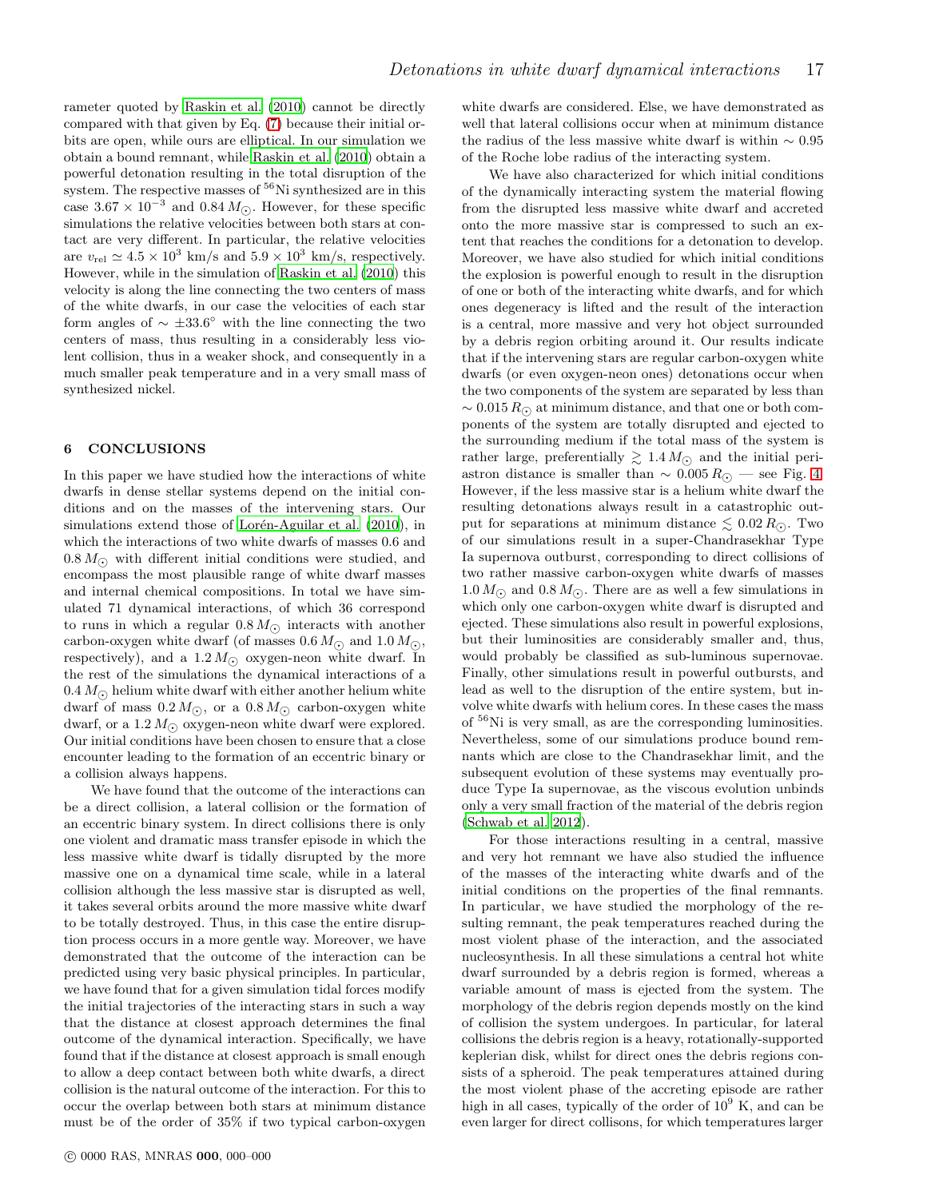rameter quoted by [Raskin et al. \(2010\)](#page-17-6) cannot be directly compared with that given by Eq. [\(7\)](#page-6-1) because their initial orbits are open, while ours are elliptical. In our simulation we obtain a bound remnant, while [Raskin et al. \(2010](#page-17-6)) obtain a powerful detonation resulting in the total disruption of the system. The respective masses of <sup>56</sup>Ni synthesized are in this case  $3.67 \times 10^{-3}$  and  $0.84 M_{\odot}$ . However, for these specific simulations the relative velocities between both stars at contact are very different. In particular, the relative velocities are  $v_{\text{rel}} \simeq 4.5 \times 10^3 \text{ km/s}$  and  $5.9 \times 10^3 \text{ km/s}$ , respectively. However, while in the simulation of [Raskin et al. \(2010](#page-17-6)) this velocity is along the line connecting the two centers of mass of the white dwarfs, in our case the velocities of each star form angles of  $\sim \pm 33.6^{\circ}$  with the line connecting the two centers of mass, thus resulting in a considerably less violent collision, thus in a weaker shock, and consequently in a much smaller peak temperature and in a very small mass of synthesized nickel.

# <span id="page-16-0"></span>6 CONCLUSIONS

In this paper we have studied how the interactions of white dwarfs in dense stellar systems depend on the initial conditions and on the masses of the intervening stars. Our simulations extend those of Lorén-Aguilar et al. (2010), in which the interactions of two white dwarfs of masses 0.6 and  $0.8 M_{\odot}$  with different initial conditions were studied, and encompass the most plausible range of white dwarf masses and internal chemical compositions. In total we have simulated 71 dynamical interactions, of which 36 correspond to runs in which a regular  $0.8 M_{\odot}$  interacts with another carbon-oxygen white dwarf (of masses 0.6  $M_{\odot}$  and 1.0  $M_{\odot}$ ), respectively), and a  $1.2 M_{\odot}$  oxygen-neon white dwarf. In the rest of the simulations the dynamical interactions of a  $0.4 M_{\odot}$  helium white dwarf with either another helium white dwarf of mass  $0.2 M_{\odot}$ , or a  $0.8 M_{\odot}$  carbon-oxygen white dwarf, or a 1.2  $M_{\odot}$  oxygen-neon white dwarf were explored. Our initial conditions have been chosen to ensure that a close encounter leading to the formation of an eccentric binary or a collision always happens.

We have found that the outcome of the interactions can be a direct collision, a lateral collision or the formation of an eccentric binary system. In direct collisions there is only one violent and dramatic mass transfer episode in which the less massive white dwarf is tidally disrupted by the more massive one on a dynamical time scale, while in a lateral collision although the less massive star is disrupted as well, it takes several orbits around the more massive white dwarf to be totally destroyed. Thus, in this case the entire disruption process occurs in a more gentle way. Moreover, we have demonstrated that the outcome of the interaction can be predicted using very basic physical principles. In particular, we have found that for a given simulation tidal forces modify the initial trajectories of the interacting stars in such a way that the distance at closest approach determines the final outcome of the dynamical interaction. Specifically, we have found that if the distance at closest approach is small enough to allow a deep contact between both white dwarfs, a direct collision is the natural outcome of the interaction. For this to occur the overlap between both stars at minimum distance must be of the order of 35% if two typical carbon-oxygen white dwarfs are considered. Else, we have demonstrated as well that lateral collisions occur when at minimum distance the radius of the less massive white dwarf is within  $\sim 0.95$ of the Roche lobe radius of the interacting system.

We have also characterized for which initial conditions of the dynamically interacting system the material flowing from the disrupted less massive white dwarf and accreted onto the more massive star is compressed to such an extent that reaches the conditions for a detonation to develop. Moreover, we have also studied for which initial conditions the explosion is powerful enough to result in the disruption of one or both of the interacting white dwarfs, and for which ones degeneracy is lifted and the result of the interaction is a central, more massive and very hot object surrounded by a debris region orbiting around it. Our results indicate that if the intervening stars are regular carbon-oxygen white dwarfs (or even oxygen-neon ones) detonations occur when the two components of the system are separated by less than  $\sim 0.015 R_{\odot}$  at minimum distance, and that one or both components of the system are totally disrupted and ejected to the surrounding medium if the total mass of the system is rather large, preferentially  $\gtrsim 1.4 M_{\odot}$  and the initial periastron distance is smaller than  $\sim 0.005 R_{\odot}$  — see Fig. [4.](#page-7-0) However, if the less massive star is a helium white dwarf the resulting detonations always result in a catastrophic output for separations at minimum distance  $\leq 0.02 R_{\odot}$ . Two of our simulations result in a super-Chandrasekhar Type Ia supernova outburst, corresponding to direct collisions of two rather massive carbon-oxygen white dwarfs of masses  $1.0 M_{\odot}$  and  $0.8 M_{\odot}$ . There are as well a few simulations in which only one carbon-oxygen white dwarf is disrupted and ejected. These simulations also result in powerful explosions, but their luminosities are considerably smaller and, thus, would probably be classified as sub-luminous supernovae. Finally, other simulations result in powerful outbursts, and lead as well to the disruption of the entire system, but involve white dwarfs with helium cores. In these cases the mass of <sup>56</sup>Ni is very small, as are the corresponding luminosities. Nevertheless, some of our simulations produce bound remnants which are close to the Chandrasekhar limit, and the subsequent evolution of these systems may eventually produce Type Ia supernovae, as the viscous evolution unbinds only a very small fraction of the material of the debris region [\(Schwab et al. 2012\)](#page-17-42).

For those interactions resulting in a central, massive and very hot remnant we have also studied the influence of the masses of the interacting white dwarfs and of the initial conditions on the properties of the final remnants. In particular, we have studied the morphology of the resulting remnant, the peak temperatures reached during the most violent phase of the interaction, and the associated nucleosynthesis. In all these simulations a central hot white dwarf surrounded by a debris region is formed, whereas a variable amount of mass is ejected from the system. The morphology of the debris region depends mostly on the kind of collision the system undergoes. In particular, for lateral collisions the debris region is a heavy, rotationally-supported keplerian disk, whilst for direct ones the debris regions consists of a spheroid. The peak temperatures attained during the most violent phase of the accreting episode are rather high in all cases, typically of the order of  $10^9$  K, and can be even larger for direct collisons, for which temperatures larger